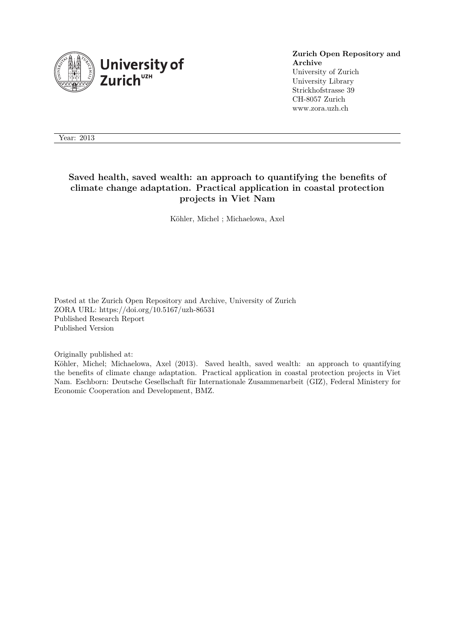

#### **Zurich Open Repository and Archive** University of Zurich University Library Strickhofstrasse 39 CH-8057 Zurich www.zora.uzh.ch

Year: 2013

## **Saved health, saved wealth: an approach to quantifying the benefits of climate change adaptation. Practical application in coastal protection projects in Viet Nam**

Köhler, Michel ; Michaelowa, Axel

Posted at the Zurich Open Repository and Archive, University of Zurich ZORA URL: https://doi.org/10.5167/uzh-86531 Published Research Report Published Version

Originally published at:

Köhler, Michel; Michaelowa, Axel (2013). Saved health, saved wealth: an approach to quantifying the benefits of climate change adaptation. Practical application in coastal protection projects in Viet Nam. Eschborn: Deutsche Gesellschaft für Internationale Zusammenarbeit (GIZ), Federal Ministery for Economic Cooperation and Development, BMZ.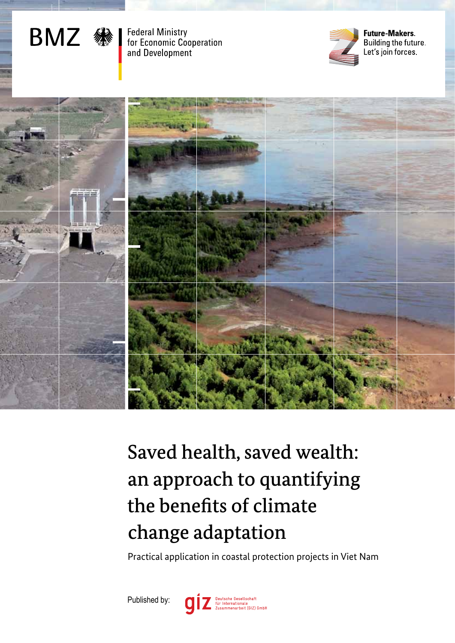

**Federal Ministry** for Economic Cooperation and Development



**Future-Makers.** Building the future. Let's join forces.



# Saved health, saved wealth: an approach to quantifying the benefits of climate change adaptation

Practical application in coastal protection projects in Viet Nam

Published by:

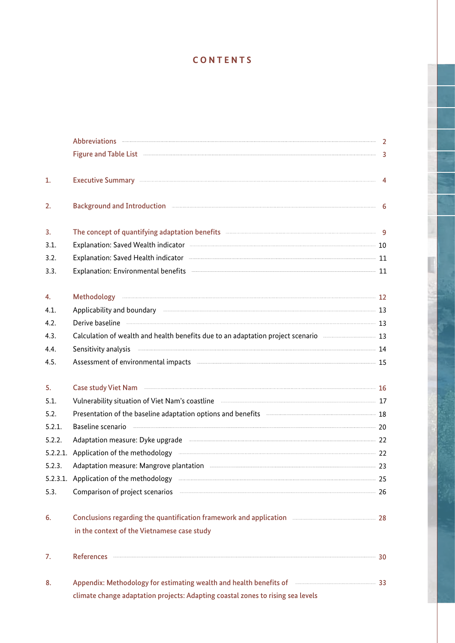# **CONTENTS**

|        | Abbreviations 2                                                                                                                                                                                                                      |  |
|--------|--------------------------------------------------------------------------------------------------------------------------------------------------------------------------------------------------------------------------------------|--|
|        | Figure and Table List 33                                                                                                                                                                                                             |  |
| 1.     | Executive Summary Executive Summary (2008) 2014 12:38:38 12:38:44                                                                                                                                                                    |  |
| 2.     | Background and Introduction <b>Executive Construction</b> 6                                                                                                                                                                          |  |
| 3.     | The concept of quantifying adaptation benefits <b>All Accord Concept of Guantifying adaptation benefits</b>                                                                                                                          |  |
| 3.1.   |                                                                                                                                                                                                                                      |  |
| 3.2.   | Explanation: Saved Health indicator <b>Explanation:</b> 11                                                                                                                                                                           |  |
| 3.3.   | Explanation: Environmental benefits <b>Explanation:</b> 11                                                                                                                                                                           |  |
| 4.     |                                                                                                                                                                                                                                      |  |
| 4.1.   | Applicability and boundary <b>Constitution and the Constitution</b> 13                                                                                                                                                               |  |
| 4.2.   | Derive baseline 23                                                                                                                                                                                                                   |  |
| 4.3.   | Calculation of wealth and health benefits due to an adaptation project scenario manual manus and 13                                                                                                                                  |  |
| 4.4.   | Sensitivity analysis <b>Exercífical Constructs</b> 14                                                                                                                                                                                |  |
| 4.5.   | Assessment of environmental impacts with the continuum contraction and the state of the 15                                                                                                                                           |  |
| 5.     | Case study Viet Nam <b>Exercise Case Study Viet Nam</b> 16                                                                                                                                                                           |  |
| 5.1.   | Vulnerability situation of Viet Nam's coastline <b>Communication and Construct Constantine Constantine Constantine Constantine Constantine Constantine Constantine Constantine Constantine Constantine Constantine Constantine C</b> |  |
| 5.2.   | Presentation of the baseline adaptation options and benefits <b>Entity of the Street of the Street 18</b>                                                                                                                            |  |
| 5.2.1. | Baseline scenario <b>Maria and Constitution</b> 20                                                                                                                                                                                   |  |
| 5.2.2. | Adaptation measure: Dyke upgrade <b>Manual Communities</b> 22                                                                                                                                                                        |  |
|        | 5.2.2.1. Application of the methodology <b>Example 22</b> and 22                                                                                                                                                                     |  |
| 5.2.3. | Adaptation measure: Mangrove plantation <b>Engineering and Service 23</b> 23                                                                                                                                                         |  |
|        | 5.2.3.1. Application of the methodology manufactured and anti-manufactured and the methodology manufactured and the methodology manufactured and the methodology manufactured and anti-manufactured and the methodology manufa       |  |
| 5.3.   | Comparison of project scenarios <b>COMPARIST: 26</b>                                                                                                                                                                                 |  |
| 6.     |                                                                                                                                                                                                                                      |  |
|        | in the context of the Vietnamese case study                                                                                                                                                                                          |  |
| 7.     |                                                                                                                                                                                                                                      |  |
| 8.     | Appendix: Methodology for estimating wealth and health benefits of <b>Election Controller and Strute</b> 33                                                                                                                          |  |
|        | climate change adaptation projects: Adapting coastal zones to rising sea levels                                                                                                                                                      |  |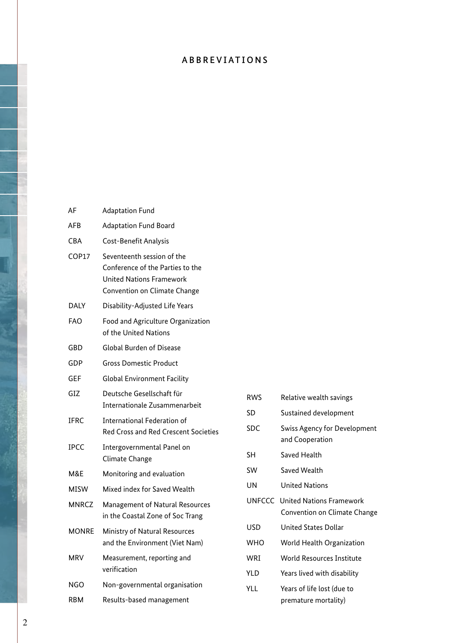# ABBREVIATIONS

| AF           | <b>Adaptation Fund</b>                                                                                                            |
|--------------|-----------------------------------------------------------------------------------------------------------------------------------|
| AFB          | <b>Adaptation Fund Board</b>                                                                                                      |
| CBA          | Cost-Benefit Analysis                                                                                                             |
| COP17        | Seventeenth session of the<br>Conference of the Parties to the<br><b>United Nations Framework</b><br>Convention on Climate Change |
| <b>DALY</b>  | Disability-Adjusted Life Years                                                                                                    |
| <b>FAO</b>   | Food and Agriculture Organization<br>of the United Nations                                                                        |
| GBD          | <b>Global Burden of Disease</b>                                                                                                   |
| GDP          | Gross Domestic Product                                                                                                            |
| <b>GEF</b>   | <b>Global Environment Facility</b>                                                                                                |
| GIZ          | Deutsche Gesellschaft für<br>Internationale Zusammenarbeit                                                                        |
| <b>IFRC</b>  | International Federation of<br><b>Red Cross and Red Crescent Societies</b>                                                        |
| <b>IPCC</b>  | Intergovernmental Panel on<br>Climate Change                                                                                      |
| M&E          | Monitoring and evaluation                                                                                                         |
| MISW         | Mixed index for Saved Wealth                                                                                                      |
| <b>MNRCZ</b> | Management of Natural Resources<br>in the Coastal Zone of Soc Trang                                                               |
| <b>MONRE</b> | Ministry of Natural Resources<br>and the Environment (Viet Nam)                                                                   |
| <b>MRV</b>   | Measurement, reporting and<br>verification                                                                                        |
| <b>NGO</b>   | Non-governmental organisation                                                                                                     |
| <b>RBM</b>   | Results-based management                                                                                                          |

| <b>RWS</b> | Relative wealth savings                                         |
|------------|-----------------------------------------------------------------|
| SD         | Sustained development                                           |
| <b>SDC</b> | <b>Swiss Agency for Development</b><br>and Cooperation          |
| SН         | Saved Health                                                    |
| SW         | Saved Wealth                                                    |
| UN         | <b>United Nations</b>                                           |
|            | UNFCCC United Nations Framework<br>Convention on Climate Change |
| USD        | United States Dollar                                            |
| <b>WHO</b> | World Health Organization                                       |
| WRI        | World Resources Institute                                       |
| YI D       | Years lived with disability                                     |
| YH         | Years of life lost (due to<br>premature mortality)              |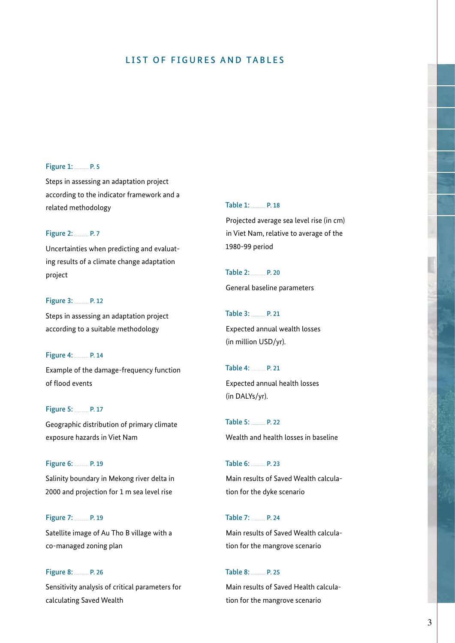## LIST OF FIGURES AND TABLES

#### Figure 1: P.5

Steps in assessing an adaptation project according to the indicator framework and a related methodology

#### Figure 2: P.7

Uncertainties when predicting and evaluating results of a climate change adaptation project

#### Figure 3: P. 12

Steps in assessing an adaptation project according to a suitable methodology

#### Figure 4: P. 14

Example of the damage-frequency function of flood events

#### Figure 5: P. 17

Geographic distribution of primary climate exposure hazards in Viet Nam

#### Figure 6: Manual P. 19

Salinity boundary in Mekong river delta in 2000 and projection for 1 m sea level rise

# Figure 7: P. 19 Satellite image of Au Tho B village with a co-managed zoning plan

Figure 8: P. 26 Sensitivity analysis of critical parameters for calculating Saved Wealth

#### Table 1: P. 18

Projected average sea level rise (in cm) in Viet Nam, relative to average of the 1980-99 period

Table 2: P. 20 General baseline parameters

Table 3: P. 21 Expected annual wealth losses (in million USD/yr).

Table 4: P. 21 Expected annual health losses (in DALYs/yr).

Table 5: P. 22 Wealth and health losses in baseline

Table 6: P. 23 Main results of Saved Wealth calculation for the dyke scenario

Table 7: P. 24 Main results of Saved Wealth calcula-

tion for the mangrove scenario

#### Table 8: P. 25

Main results of Saved Health calculation for the mangrove scenario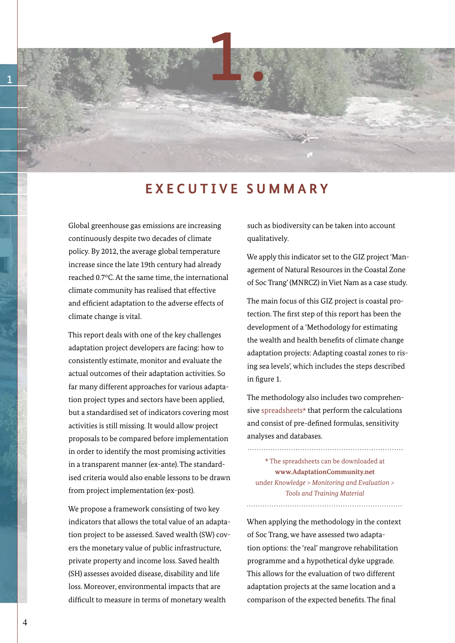

# **EXECUTIVE SUMMARY**

Global greenhouse gas emissions are increasing continuously despite two decades of climate policy. By 2012, the average global temperature increase since the late 19th century had already reached 0.7°C. At the same time, the international climate community has realised that effective and efficient adaptation to the adverse effects of climate change is vital.

This report deals with one of the key challenges adaptation project developers are facing: how to consistently estimate, monitor and evaluate the actual outcomes of their adaptation activities. So far many different approaches for various adaptation project types and sectors have been applied, but a standardised set of indicators covering most activities is still missing. It would allow project proposals to be compared before implementation in order to identify the most promising activities in a transparent manner (ex-ante). The standardised criteria would also enable lessons to be drawn from project implementation (ex-post).

We propose a framework consisting of two key indicators that allows the total value of an adaptation project to be assessed. Saved wealth (SW) covers the monetary value of public infrastructure, private property and income loss. Saved health (SH) assesses avoided disease, disability and life loss. Moreover, environmental impacts that are difficult to measure in terms of monetary wealth

such as biodiversity can be taken into account qualitatively.

We apply this indicator set to the GIZ project 'Management of Natural Resources in the Coastal Zone of Soc Trang' (MNRCZ) in Viet Nam as a case study.

The main focus of this GIZ project is coastal protection. The first step of this report has been the development of a 'Methodology for estimating the wealth and health benefits of climate change adaptation projects: Adapting coastal zones to rising sea levels', which includes the steps described in figure 1.

The methodology also includes two comprehensive spreadsheets\* that perform the calculations and consist of pre-defined formulas, sensitivity analyses and databases.

\* The spreadsheets can be downloaded at **www.AdaptationCommunity.net**  under *Knowledge > Monitoring and Evaluation > Tools and Training Material*

When applying the methodology in the context of Soc Trang, we have assessed two adaptation options: the 'real' mangrove rehabilitation programme and a hypothetical dyke upgrade. This allows for the evaluation of two different adaptation projects at the same location and a comparison of the expected benefits. The final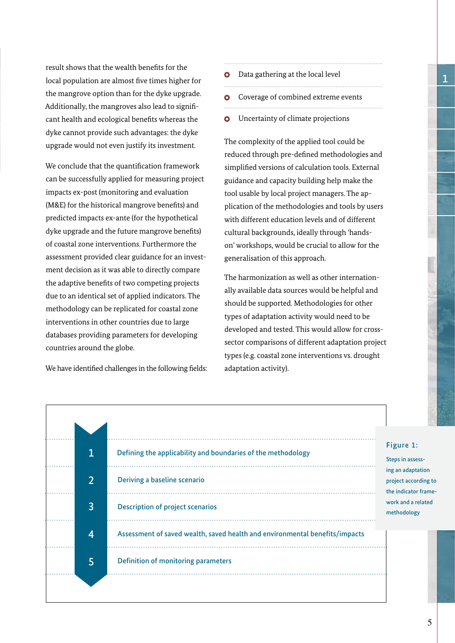result shows that the wealth benefits for the local population are almost five times higher for the mangrove option than for the dyke upgrade. Additionally, the mangroves also lead to significant health and ecological benefits whereas the dyke cannot provide such advantages: the dyke upgrade would not even justify its investment.

We conclude that the quantification framework can be successfully applied for measuring project impacts ex-post (monitoring and evaluation (M&E) for the historical mangrove benefits) and predicted impacts ex-ante (for the hypothetical dyke upgrade and the future mangrove benefits) of coastal zone interventions. Furthermore the assessment provided clear guidance for an investment decision as it was able to directly compare the adaptive benefits of two competing projects due to an identical set of applied indicators. The methodology can be replicated for coastal zone interventions in other countries due to large databases providing parameters for developing countries around the globe.

We have identified challenges in the following fields:

- **O** Data gathering at the local level
- **O** Coverage of combined extreme events
- Uncertainty of climate projections  $\bullet$

The complexity of the applied tool could be reduced through pre-defined methodologies and simplified versions of calculation tools. External guidance and capacity building help make the tool usable by local project managers. The application of the methodologies and tools by users with different education levels and of different cultural backgrounds, ideally through 'handson' workshops, would be crucial to allow for the generalisation of this approach.

The harmonization as well as other internationally available data sources would be helpful and should be supported. Methodologies for other types of adaptation activity would need to be developed and tested. This would allow for crosssector comparisons of different adaptation project types (e.g. coastal zone interventions vs. drought adaptation activity).

| 1              | Defining the applicability and boundaries of the methodology                |                                                                   |
|----------------|-----------------------------------------------------------------------------|-------------------------------------------------------------------|
| $\overline{2}$ | Deriving a baseline scenario                                                | ing an adaptation<br>project according to<br>the indicator frame- |
| 3              | <b>Description of project scenarios</b>                                     | work and a related<br>methodology                                 |
| 4              | Assessment of saved wealth, saved health and environmental benefits/impacts |                                                                   |
| 5              | <b>Definition of monitoring parameters</b>                                  |                                                                   |
|                |                                                                             |                                                                   |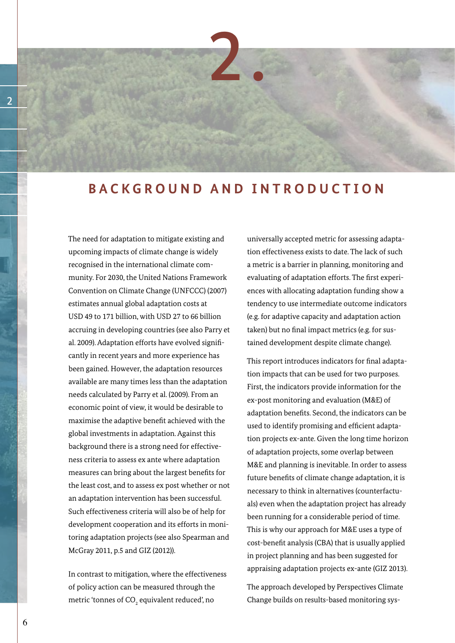

# **BACKGROUND AND INTRODUCTION**

The need for adaptation to mitigate existing and upcoming impacts of climate change is widely recognised in the international climate community. For 2030, the United Nations Framework Convention on Climate Change (UNFCCC) (2007) estimates annual global adaptation costs at USD 49 to 171 billion, with USD 27 to 66 billion accruing in developing countries (see also Parry et al. 2009). Adaptation efforts have evolved significantly in recent years and more experience has been gained. However, the adaptation resources available are many times less than the adaptation needs calculated by Parry et al. (2009). From an economic point of view, it would be desirable to maximise the adaptive benefit achieved with the global investments in adaptation. Against this background there is a strong need for effectiveness criteria to assess ex ante where adaptation measures can bring about the largest benefits for the least cost, and to assess ex post whether or not an adaptation intervention has been successful. Such effectiveness criteria will also be of help for development cooperation and its efforts in monitoring adaptation projects (see also Spearman and McGray 2011, p.5 and GIZ (2012)).

In contrast to mitigation, where the effectiveness of policy action can be measured through the metric 'tonnes of CO $_{\textrm{\tiny{2}}}$  equivalent reduced', no

universally accepted metric for assessing adaptation effectiveness exists to date. The lack of such a metric is a barrier in planning, monitoring and evaluating of adaptation efforts. The first experiences with allocating adaptation funding show a tendency to use intermediate outcome indicators (e.g. for adaptive capacity and adaptation action taken) but no final impact metrics (e.g. for sustained development despite climate change).

This report introduces indicators for final adaptation impacts that can be used for two purposes. First, the indicators provide information for the ex-post monitoring and evaluation (M&E) of adaptation benefits. Second, the indicators can be used to identify promising and efficient adaptation projects ex-ante. Given the long time horizon of adaptation projects, some overlap between M&E and planning is inevitable. In order to assess future benefits of climate change adaptation, it is necessary to think in alternatives (counterfactuals) even when the adaptation project has already been running for a considerable period of time. This is why our approach for M&E uses a type of cost-benefit analysis (CBA) that is usually applied in project planning and has been suggested for appraising adaptation projects ex-ante (GIZ 2013).

The approach developed by Perspectives Climate Change builds on results-based monitoring sys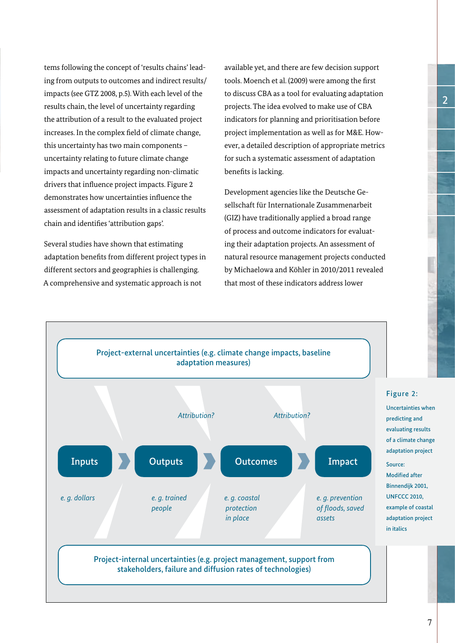tems following the concept of 'results chains' leading from outputs to outcomes and indirect results/ impacts (see GTZ 2008, p.5). With each level of the results chain, the level of uncertainty regarding the attribution of a result to the evaluated project increases. In the complex field of climate change, this uncertainty has two main components – uncertainty relating to future climate change impacts and uncertainty regarding non-climatic drivers that influence project impacts. Figure 2 demonstrates how uncertainties influence the assessment of adaptation results in a classic results chain and identifies 'attribution gaps'.

Several studies have shown that estimating adaptation benefits from different project types in different sectors and geographies is challenging. A comprehensive and systematic approach is not

available yet, and there are few decision support tools. Moench et al. (2009) were among the first to discuss CBA as a tool for evaluating adaptation projects. The idea evolved to make use of CBA indicators for planning and prioritisation before project implementation as well as for M&E. However, a detailed description of appropriate metrics for such a systematic assessment of adaptation benefits is lacking.

Development agencies like the Deutsche Gesellschaft für Internationale Zusammenarbeit (GIZ) have traditionally applied a broad range of process and outcome indicators for evaluating their adaptation projects. An assessment of natural resource management projects conducted by Michaelowa and Köhler in 2010/2011 revealed that most of these indicators address lower



7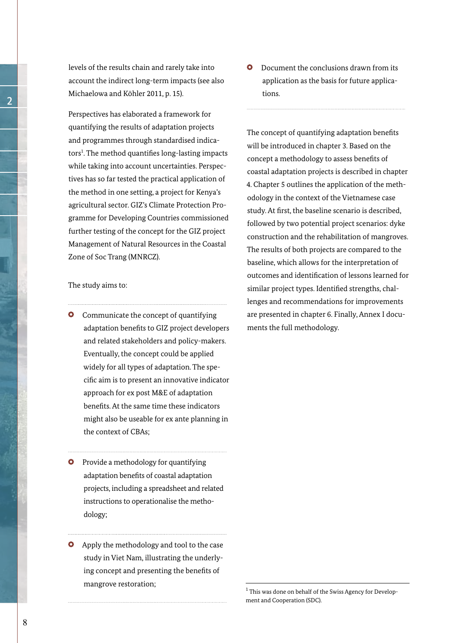levels of the results chain and rarely take into account the indirect long-term impacts (see also Michaelowa and Köhler 2011, p. 15).

Perspectives has elaborated a framework for quantifying the results of adaptation projects and programmes through standardised indicators<sup>1</sup>. The method quantifies long-lasting impacts while taking into account uncertainties. Perspectives has so far tested the practical application of the method in one setting, a project for Kenya's agricultural sector. GIZ's Climate Protection Programme for Developing Countries commissioned further testing of the concept for the GIZ project Management of Natural Resources in the Coastal Zone of Soc Trang (MNRCZ).

#### The study aims to:

- **O** Communicate the concept of quantifying adaptation benefits to GIZ project developers and related stakeholders and policy-makers. Eventually, the concept could be applied widely for all types of adaptation. The specific aim is to present an innovative indicator approach for ex post M&E of adaptation benefits. At the same time these indicators might also be useable for ex ante planning in the context of CBAs;
- **O** Provide a methodology for quantifying adaptation benefits of coastal adaptation projects, including a spreadsheet and related instructions to operationalise the methodology;
- **O** Apply the methodology and tool to the case study in Viet Nam, illustrating the underlying concept and presenting the benefits of mangrove restoration;

**O** Document the conclusions drawn from its application as the basis for future applications.

The concept of quantifying adaptation benefits will be introduced in chapter 3. Based on the concept a methodology to assess benefits of coastal adaptation projects is described in chapter 4. Chapter 5 outlines the application of the methodology in the context of the Vietnamese case study. At first, the baseline scenario is described, followed by two potential project scenarios: dyke construction and the rehabilitation of mangroves. The results of both projects are compared to the baseline, which allows for the interpretation of outcomes and identification of lessons learned for similar project types. Identified strengths, challenges and recommendations for improvements are presented in chapter 6. Finally, Annex I documents the full methodology.

<sup>&</sup>lt;sup>1</sup> This was done on behalf of the Swiss Agency for Development and Cooperation (SDC).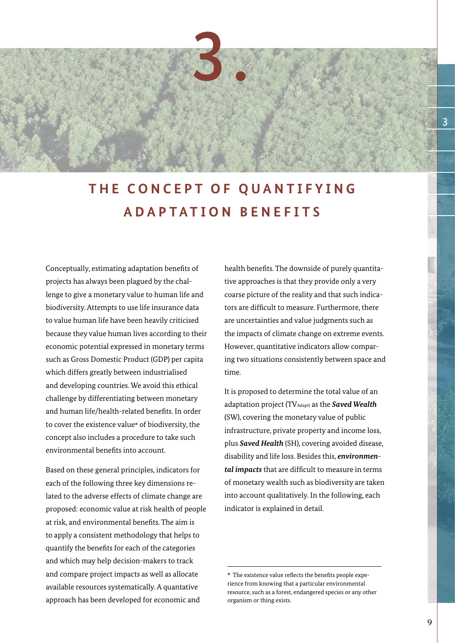

# **THE CONCEPT OF QUANTIFYING ADAPTATION BENEFITS**

Conceptually, estimating adaptation benefits of projects has always been plagued by the challenge to give a monetary value to human life and biodiversity. Attempts to use life insurance data to value human life have been heavily criticised because they value human lives according to their economic potential expressed in monetary terms such as Gross Domestic Product (GDP) per capita which differs greatly between industrialised and developing countries. We avoid this ethical challenge by differentiating between monetary and human life/health-related benefits. In order to cover the existence value\* of biodiversity, the concept also includes a procedure to take such environmental benefits into account.

Based on these general principles, indicators for each of the following three key dimensions related to the adverse effects of climate change are proposed: economic value at risk health of people at risk, and environmental benefits. The aim is to apply a consistent methodology that helps to quantify the benefits for each of the categories and which may help decision-makers to track and compare project impacts as well as allocate available resources systematically. A quantative approach has been developed for economic and

health benefits. The downside of purely quantitative approaches is that they provide only a very coarse picture of the reality and that such indicators are difficult to measure. Furthermore, there are uncertainties and value judgments such as the impacts of climate change on extreme events. However, quantitative indicators allow comparing two situations consistently between space and time.

It is proposed to determine the total value of an adaptation project (TVAdapt) as the *Saved Wealth* (SW), covering the monetary value of public infrastructure, private property and income loss, plus *Saved Health* (SH), covering avoided disease, disability and life loss. Besides this, *environmental impacts* that are difficult to measure in terms of monetary wealth such as biodiversity are taken into account qualitatively. In the following, each indicator is explained in detail.

<sup>\*</sup> The existence value reflects the benefits people experience from knowing that a particular environmental resource, such as a forest, endangered species or any other organism or thing exists.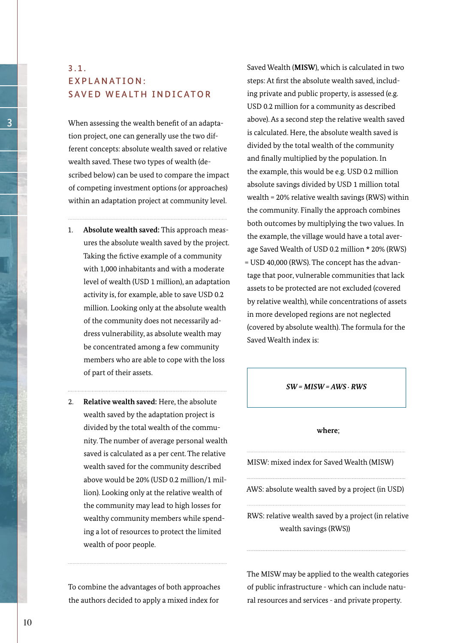# 3.1.  $FXPI$  A N AT I ON $\cdot$ SAVED WEALTH INDICATOR

When assessing the wealth benefit of an adaptation project, one can generally use the two different concepts: absolute wealth saved or relative wealth saved. These two types of wealth (described below) can be used to compare the impact of competing investment options (or approaches) within an adaptation project at community level.

- 1. **Absolute wealth saved:** This approach measures the absolute wealth saved by the project. Taking the fictive example of a community with 1,000 inhabitants and with a moderate level of wealth (USD 1 million), an adaptation activity is, for example, able to save USD 0.2 million. Looking only at the absolute wealth of the community does not necessarily address vulnerability, as absolute wealth may be concentrated among a few community members who are able to cope with the loss of part of their assets.
- 2. **Relative wealth saved:** Here, the absolute wealth saved by the adaptation project is divided by the total wealth of the community. The number of average personal wealth saved is calculated as a per cent. The relative wealth saved for the community described above would be 20% (USD 0.2 million/1 million). Looking only at the relative wealth of the community may lead to high losses for wealthy community members while spending a lot of resources to protect the limited wealth of poor people.

To combine the advantages of both approaches the authors decided to apply a mixed index for

Saved Wealth (**MISW**), which is calculated in two steps: At first the absolute wealth saved, including private and public property, is assessed (e.g. USD 0.2 million for a community as described above). As a second step the relative wealth saved is calculated. Here, the absolute wealth saved is divided by the total wealth of the community and finally multiplied by the population. In the example, this would be e.g. USD 0.2 million absolute savings divided by USD 1 million total wealth = 20% relative wealth savings (RWS) within the community. Finally the approach combines both outcomes by multiplying the two values. In the example, the village would have a total average Saved Wealth of USD 0.2 million \* 20% (RWS) = USD 40,000 (RWS). The concept has the advantage that poor, vulnerable communities that lack assets to be protected are not excluded (covered by relative wealth), while concentrations of assets in more developed regions are not neglected (covered by absolute wealth). The formula for the Saved Wealth index is:

*SW = MISW = AWS . RWS*

#### **where**;

MISW: mixed index for Saved Wealth (MISW)

AWS: absolute wealth saved by a project (in USD)

RWS: relative wealth saved by a project (in relative wealth savings (RWS))

The MISW may be applied to the wealth categories of public infrastructure - which can include natural resources and services - and private property.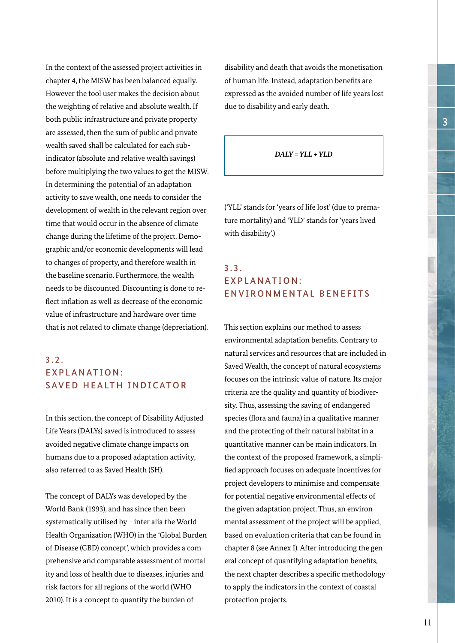In the context of the assessed project activities in chapter 4, the MISW has been balanced equally. However the tool user makes the decision about the weighting of relative and absolute wealth. If both public infrastructure and private property are assessed, then the sum of public and private wealth saved shall be calculated for each subindicator (absolute and relative wealth savings) before multiplying the two values to get the MISW. In determining the potential of an adaptation activity to save wealth, one needs to consider the development of wealth in the relevant region over time that would occur in the absence of climate change during the lifetime of the project. Demographic and/or economic developments will lead to changes of property, and therefore wealth in the baseline scenario. Furthermore, the wealth needs to be discounted. Discounting is done to reflect inflation as well as decrease of the economic value of infrastructure and hardware over time that is not related to climate change (depreciation).

# 3.2. EXPLANATION: SAVED HEALTH INDICATOR

In this section, the concept of Disability Adjusted Life Years (DALYs) saved is introduced to assess avoided negative climate change impacts on humans due to a proposed adaptation activity, also referred to as Saved Health (SH).

The concept of DALYs was developed by the World Bank (1993), and has since then been systematically utilised by – inter alia the World Health Organization (WHO) in the 'Global Burden of Disease (GBD) concept', which provides a comprehensive and comparable assessment of mortality and loss of health due to diseases, injuries and risk factors for all regions of the world (WHO 2010). It is a concept to quantify the burden of

disability and death that avoids the monetisation of human life. Instead, adaptation benefits are expressed as the avoided number of life years lost due to disability and early death.

#### *DALY = YLL + YLD*

('YLL' stands for 'years of life lost' (due to premature mortality) and 'YLD' stands for 'years lived with disability'.)

# 3.3. **EXPLANATION:** ENVIRONMENTAL BENEFITS

This section explains our method to assess environmental adaptation benefits. Contrary to natural services and resources that are included in Saved Wealth, the concept of natural ecosystems focuses on the intrinsic value of nature. Its major criteria are the quality and quantity of biodiversity. Thus, assessing the saving of endangered species (flora and fauna) in a qualitative manner and the protecting of their natural habitat in a quantitative manner can be main indicators. In the context of the proposed framework, a simplified approach focuses on adequate incentives for project developers to minimise and compensate for potential negative environmental effects of the given adaptation project. Thus, an environmental assessment of the project will be applied, based on evaluation criteria that can be found in chapter 8 (see Annex I). After introducing the general concept of quantifying adaptation benefits, the next chapter describes a specific methodology to apply the indicators in the context of coastal protection projects.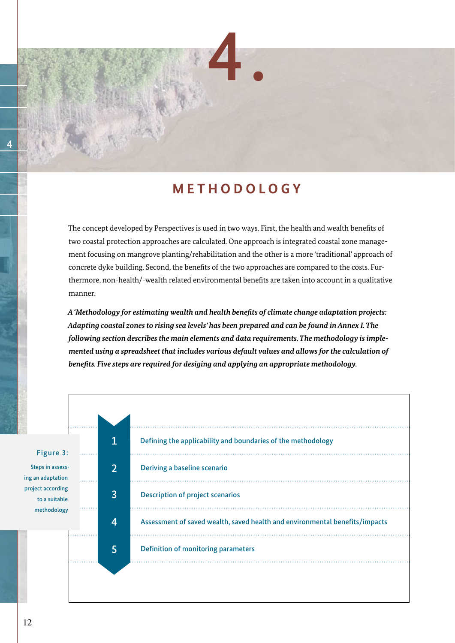# **M E T H O D O L O G Y**

4.

The concept developed by Perspectives is used in two ways. First, the health and wealth benefits of two coastal protection approaches are calculated. One approach is integrated coastal zone management focusing on mangrove planting/rehabilitation and the other is a more 'traditional' approach of concrete dyke building. Second, the benefits of the two approaches are compared to the costs. Furthermore, non-health/-wealth related environmental benefits are taken into account in a qualitative manner.

*A 'Methodology for estimating wealth and health benefits of climate change adaptation projects: Adapting coastal zones to rising sea levels' has been prepared and can be found in Annex I. The following section describes the main elements and data requirements. The methodology is implemented using a spreadsheet that includes various default values and allows for the calculation of benefits. Five steps are required for desiging and applying an appropriate methodology.* 

| Figure 3:                             |                | Defining the applicability and boundaries of the methodology                |
|---------------------------------------|----------------|-----------------------------------------------------------------------------|
| Steps in assess-<br>ing an adaptation | $\overline{2}$ | Deriving a baseline scenario                                                |
| project according<br>to a suitable    | 3              | <b>Description of project scenarios</b>                                     |
| methodology                           | 4              | Assessment of saved wealth, saved health and environmental benefits/impacts |
|                                       | 5              | Definition of monitoring parameters                                         |
|                                       |                |                                                                             |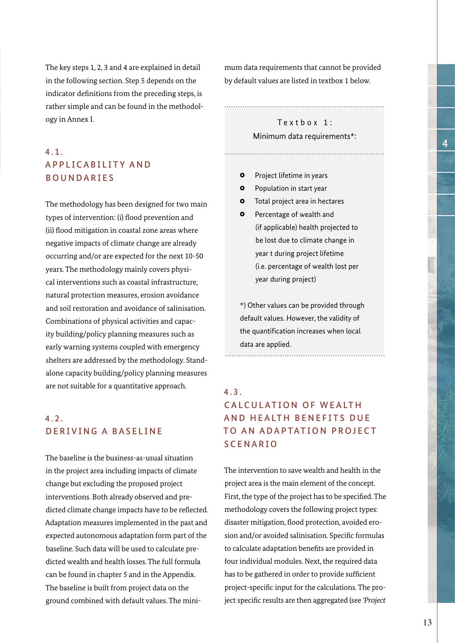The key steps 1, 2, 3 and 4 are explained in detail in the following section. Step 5 depends on the indicator definitions from the preceding steps, is rather simple and can be found in the methodology in Annex I.

# 4.1. A P P L I C A B I L I T Y A N D BOUNDARIES

The methodology has been designed for two main types of intervention: (i) flood prevention and (ii) flood mitigation in coastal zone areas where negative impacts of climate change are already occurring and/or are expected for the next 10-50 years. The methodology mainly covers physical interventions such as coastal infrastructure, natural protection measures, erosion avoidance and soil restoration and avoidance of salinisation. Combinations of physical activities and capacity building/policy planning measures such as early warning systems coupled with emergency shelters are addressed by the methodology. Standalone capacity building/policy planning measures are not suitable for a quantitative approach.

# 4.2. DERIVING A BASELINE

The baseline is the business-as-usual situation in the project area including impacts of climate change but excluding the proposed project interventions. Both already observed and predicted climate change impacts have to be reflected. Adaptation measures implemented in the past and expected autonomous adaptation form part of the baseline. Such data will be used to calculate predicted wealth and health losses. The full formula can be found in chapter 5 and in the Appendix. The baseline is built from project data on the ground combined with default values. The minimum data requirements that cannot be provided by default values are listed in textbox 1 below.

# $Textbox 1:$ Minimum data requirements\*:

- $\bullet$ Project lifetime in years
- $\bullet$ Population in start year
- Total project area in hectares  $\bullet$
- $\bullet$ Percentage of wealth and (if applicable) health projected to be lost due to climate change in year t during project lifetime (i.e. percentage of wealth lost per year during project)

\*) Other values can be provided through default values. However, the validity of the quantification increases when local data are applied.

# 4.3. CALCULATION OF WEALTH AND HEALTH BENEFITS DUE TO AN ADAPTATION PROJECT SCENARIO

The intervention to save wealth and health in the project area is the main element of the concept. First, the type of the project has to be specified. The methodology covers the following project types: disaster mitigation, flood protection, avoided erosion and/or avoided salinisation. Specific formulas to calculate adaptation benefits are provided in four individual modules. Next, the required data has to be gathered in order to provide sufficient project-specific input for the calculations. The project specific results are then aggregated (see *'Project*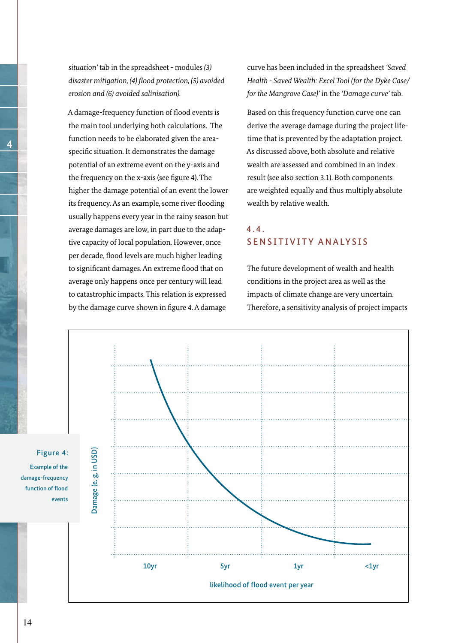*situation'* tab in the spreadsheet - modules *(3) disaster mitigation, (4) flood protection, (5) avoided erosion and (6) avoided salinisation).*

A damage-frequency function of flood events is the main tool underlying both calculations. The function needs to be elaborated given the areaspecific situation. It demonstrates the damage potential of an extreme event on the y-axis and the frequency on the x-axis (see figure 4). The higher the damage potential of an event the lower its frequency. As an example, some river flooding usually happens every year in the rainy season but average damages are low, in part due to the adaptive capacity of local population. However, once per decade, flood levels are much higher leading to significant damages. An extreme flood that on average only happens once per century will lead to catastrophic impacts. This relation is expressed by the damage curve shown in figure 4. A damage

curve has been included in the spreadsheet *'Saved Health - Saved Wealth: Excel Tool (for the Dyke Case/ for the Mangrove Case)'* in the *'Damage curve'* tab.

Based on this frequency function curve one can derive the average damage during the project lifetime that is prevented by the adaptation project. As discussed above, both absolute and relative wealth are assessed and combined in an index result (see also section 3.1). Both components are weighted equally and thus multiply absolute wealth by relative wealth.

# $4.4.$ SENSITIVITY ANALYSIS

The future development of wealth and health conditions in the project area as well as the impacts of climate change are very uncertain. Therefore, a sensitivity analysis of project impacts



4

Figure 4:

Example of the damage-frequency function of flood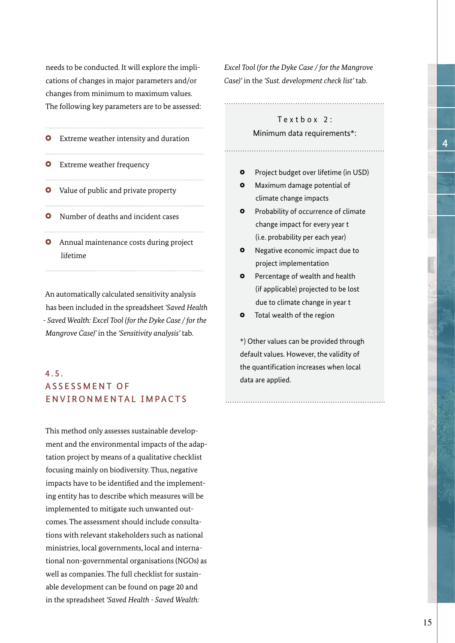needs to be conducted. It will explore the implications of changes in major parameters and/or changes from minimum to maximum values. The following key parameters are to be assessed:

- **O** Extreme weather intensity and duration
- **O** Extreme weather frequency
- **O** Value of public and private property
- **O** Number of deaths and incident cases
- **O** Annual maintenance costs during project lifetime

An automatically calculated sensitivity analysis has been included in the spreadsheet *'Saved Health - Saved Wealth: Excel Tool (for the Dyke Case / for the Mangrove Case)'* in the *'Sensitivity analysis'* tab.

# 4.5. A S S E S S M E N T O F ENVIRONMENTAL IMPACTS

This method only assesses sustainable development and the environmental impacts of the adaptation project by means of a qualitative checklist focusing mainly on biodiversity. Thus, negative impacts have to be identified and the implementing entity has to describe which measures will be implemented to mitigate such unwanted outcomes. The assessment should include consultations with relevant stakeholders such as national ministries, local governments, local and international non-governmental organisations (NGOs) as well as companies. The full checklist for sustainable development can be found on page 20 and in the spreadsheet *'Saved Health - Saved Wealth:* 

*Excel Tool (for the Dyke Case / for the Mangrove Case)'* in the *'Sust. development check list'* tab.

# $Textbox 2:$

#### Minimum data requirements\*:

- $\bullet$ Project budget over lifetime (in USD)
- $\bullet$ Maximum damage potential of climate change impacts
- $\bullet$ Probability of occurrence of climate change impact for every year t (i.e. probability per each year)
- $\bullet$ Negative economic impact due to project implementation
- Percentage of wealth and health  $\Omega$  (if applicable) projected to be lost due to climate change in year t
- $\bullet$ Total wealth of the region

\*) Other values can be provided through default values. However, the validity of the quantification increases when local data are applied.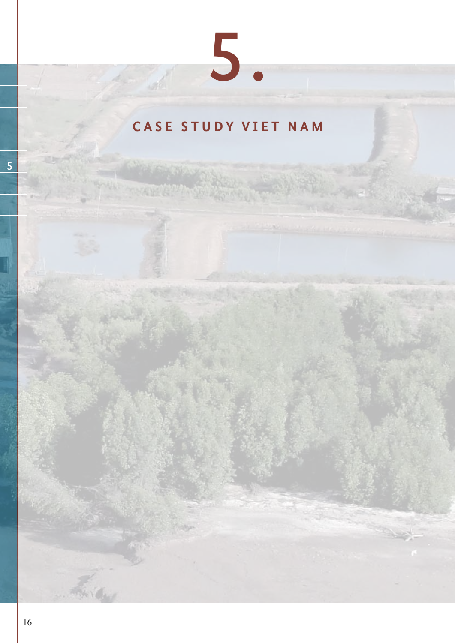# **CASE STUDY VIET NAM**

5.

**RAYCOUT**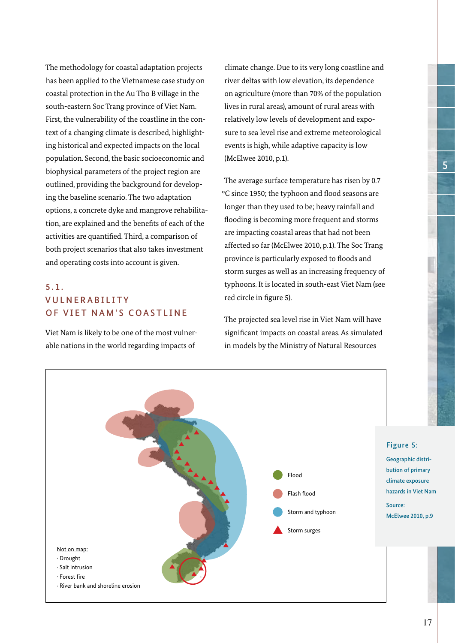The methodology for coastal adaptation projects has been applied to the Vietnamese case study on coastal protection in the Au Tho B village in the south-eastern Soc Trang province of Viet Nam. First, the vulnerability of the coastline in the context of a changing climate is described, highlighting historical and expected impacts on the local population. Second, the basic socioeconomic and biophysical parameters of the project region are outlined, providing the background for developing the baseline scenario. The two adaptation options, a concrete dyke and mangrove rehabilitation, are explained and the benefits of each of the activities are quantified. Third, a comparison of both project scenarios that also takes investment and operating costs into account is given.

# 5.1. **VUINFRABILITY** OF VIET NAM'S COASTLINE

Viet Nam is likely to be one of the most vulnerable nations in the world regarding impacts of

climate change. Due to its very long coastline and river deltas with low elevation, its dependence on agriculture (more than 70% of the population lives in rural areas), amount of rural areas with relatively low levels of development and exposure to sea level rise and extreme meteorological events is high, while adaptive capacity is low (McElwee 2010, p.1).

The average surface temperature has risen by 0.7 °C since 1950; the typhoon and flood seasons are longer than they used to be; heavy rainfall and flooding is becoming more frequent and storms are impacting coastal areas that had not been affected so far (McElwee 2010, p.1). The Soc Trang province is particularly exposed to floods and storm surges as well as an increasing frequency of typhoons. It is located in south-east Viet Nam (see red circle in figure 5).

The projected sea level rise in Viet Nam will have significant impacts on coastal areas. As simulated in models by the Ministry of Natural Resources

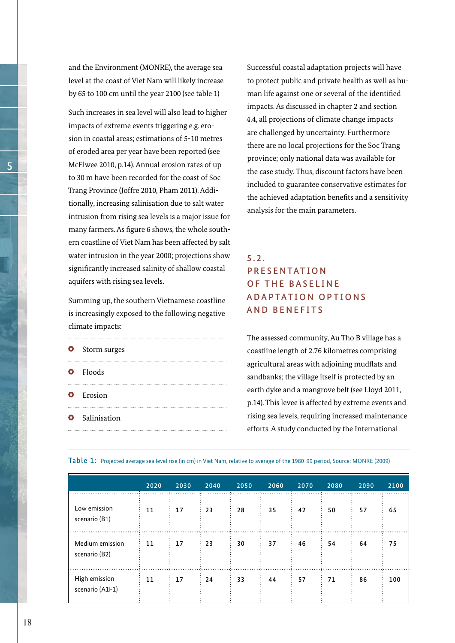and the Environment (MONRE), the average sea level at the coast of Viet Nam will likely increase by 65 to 100 cm until the year 2100 (see table 1)

Such increases in sea level will also lead to higher impacts of extreme events triggering e.g. erosion in coastal areas; estimations of 5-10 metres of eroded area per year have been reported (see McElwee 2010, p.14). Annual erosion rates of up to 30 m have been recorded for the coast of Soc Trang Province (Joffre 2010, Pham 2011). Additionally, increasing salinisation due to salt water intrusion from rising sea levels is a major issue for many farmers. As figure 6 shows, the whole southern coastline of Viet Nam has been affected by salt water intrusion in the year 2000; projections show significantly increased salinity of shallow coastal aquifers with rising sea levels.

Summing up, the southern Vietnamese coastline is increasingly exposed to the following negative climate impacts:

| <b>O</b> Storm surges |
|-----------------------|
| <b>O</b> Floods       |
| <b>O</b> Erosion      |
| <b>O</b> Salinisation |

Successful coastal adaptation projects will have to protect public and private health as well as human life against one or several of the identified impacts. As discussed in chapter 2 and section 4.4, all projections of climate change impacts are challenged by uncertainty. Furthermore there are no local projections for the Soc Trang province; only national data was available for the case study. Thus, discount factors have been included to guarantee conservative estimates for the achieved adaptation benefits and a sensitivity analysis for the main parameters.

# 5.2. **PRESENTATION** OF THE BASELINE A D A P T A T I O N O P T I O N S AND BENEFITS

The assessed community, Au Tho B village has a coastline length of 2.76 kilometres comprising agricultural areas with adjoining mudflats and sandbanks; the village itself is protected by an earth dyke and a mangrove belt (see Lloyd 2011, p.14). This levee is affected by extreme events and rising sea levels, requiring increased maintenance efforts. A study conducted by the International

|  | Table 1: Projected average sea level rise (in cm) in Viet Nam, relative to average of the 1980-99 period, Source: MONRE (2009) |  |  |  |
|--|--------------------------------------------------------------------------------------------------------------------------------|--|--|--|
|  |                                                                                                                                |  |  |  |

|                                  | 2020 | 2030 | 2040 | 2050 | 2060 | 2070 | 2080 | 2090 | 2100 |
|----------------------------------|------|------|------|------|------|------|------|------|------|
| Low emission<br>scenario (B1)    | 11   | 17   | 23   | 28   | 35   | 42   | 50   | 57   | 65   |
| Medium emission<br>scenario (B2) | 11   | 17   | 23   | 30   | 37   | 46   | 54   | 64   | 75   |
| High emission<br>scenario (A1F1) | 11   | 17   | 24   | 33   | 44   | 57   | 71   | 86   | 100  |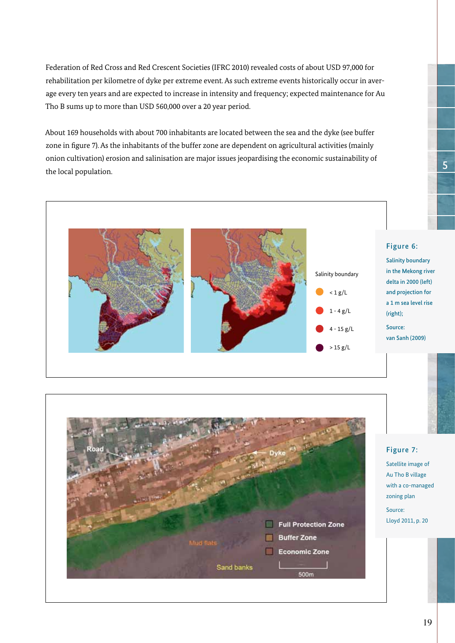Federation of Red Cross and Red Crescent Societies (IFRC 2010) revealed costs of about USD 97,000 for rehabilitation per kilometre of dyke per extreme event. As such extreme events historically occur in average every ten years and are expected to increase in intensity and frequency; expected maintenance for Au Tho B sums up to more than USD 560,000 over a 20 year period.

About 169 households with about 700 inhabitants are located between the sea and the dyke (see buffer zone in figure 7). As the inhabitants of the buffer zone are dependent on agricultural activities (mainly onion cultivation) erosion and salinisation are major issues jeopardising the economic sustainability of the local population.





in the Mekong river delta in 2000 (left) and projection for a 1 m sea level rise

5

Satellite image of Au Tho B village with a co-managed zoning plan Source: Lloyd 2011, p. 20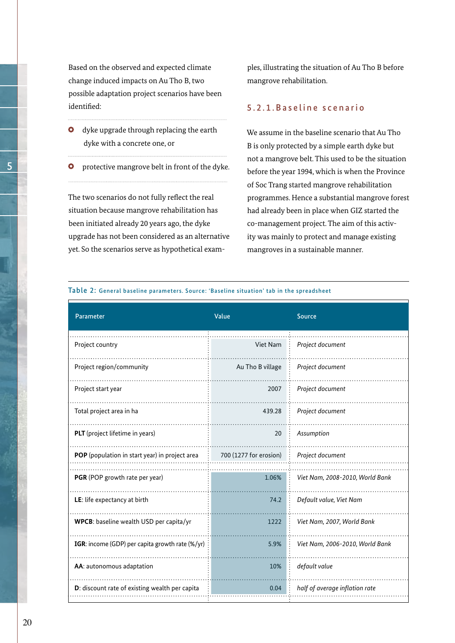Based on the observed and expected climate change induced impacts on Au Tho B, two possible adaptation project scenarios have been identified:

- **O** dyke upgrade through replacing the earth dyke with a concrete one, or
- **O** protective mangrove belt in front of the dyke.

The two scenarios do not fully reflect the real situation because mangrove rehabilitation has been initiated already 20 years ago, the dyke upgrade has not been considered as an alternative yet. So the scenarios serve as hypothetical examples, illustrating the situation of Au Tho B before mangrove rehabilitation.

#### 5.2.1.Baseline scenario

We assume in the baseline scenario that Au Tho B is only protected by a simple earth dyke but not a mangrove belt. This used to be the situation before the year 1994, which is when the Province of Soc Trang started mangrove rehabilitation programmes. Hence a substantial mangrove forest had already been in place when GIZ started the co-management project. The aim of this activity was mainly to protect and manage existing mangroves in a sustainable manner.

Table 2: General baseline parameters. Source: 'Baseline situation' tab in the spreadsheet

| Parameter                                       | Value                  | Source                          |
|-------------------------------------------------|------------------------|---------------------------------|
| Project country                                 | Viet Nam               | Project document                |
| Project region/community                        | Au Tho B village       | Project document                |
| Project start year                              | 2007                   | Project document                |
| Total project area in ha                        | 439.28                 | Project document                |
| PLT (project lifetime in years)                 | 20                     | Assumption                      |
| POP (population in start year) in project area  | 700 (1277 for erosion) | Project document                |
| PGR (POP growth rate per year)                  | 1.06%                  | Viet Nam, 2008-2010, World Bank |
| LE: life expectancy at birth                    | 74.2                   | Default value, Viet Nam         |
| WPCB: baseline wealth USD per capita/yr         | 1222                   | Viet Nam, 2007, World Bank      |
| IGR: income (GDP) per capita growth rate (%/yr) | 5.9%                   | Viet Nam, 2006-2010, World Bank |
| AA: autonomous adaptation                       | 10%                    | default value                   |
| D: discount rate of existing wealth per capita  | 0.04                   | half of average inflation rate  |

5

20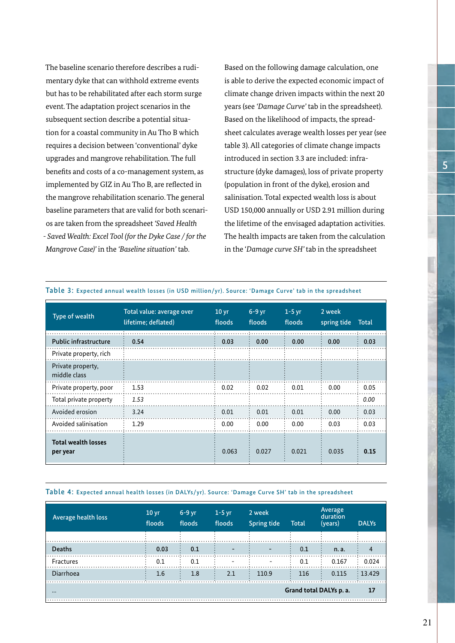The baseline scenario therefore describes a rudimentary dyke that can withhold extreme events but has to be rehabilitated after each storm surge event. The adaptation project scenarios in the subsequent section describe a potential situation for a coastal community in Au Tho B which requires a decision between 'conventional' dyke upgrades and mangrove rehabilitation. The full benefits and costs of a co-management system, as implemented by GIZ in Au Tho B, are reflected in the mangrove rehabilitation scenario. The general baseline parameters that are valid for both scenarios are taken from the spreadsheet *'Saved Health - Saved Wealth: Excel Tool (for the Dyke Case / for the Mangrove Case)'* in the *'Baseline situation'* tab.

Based on the following damage calculation, one is able to derive the expected economic impact of climate change driven impacts within the next 20 years (see *'Damage Curve'* tab in the spreadsheet). Based on the likelihood of impacts, the spreadsheet calculates average wealth losses per year (see table 3). All categories of climate change impacts introduced in section 3.3 are included: infrastructure (dyke damages), loss of private property (population in front of the dyke), erosion and salinisation. Total expected wealth loss is about USD 150,000 annually or USD 2.91 million during the lifetime of the envisaged adaptation activities. The health impacts are taken from the calculation in the '*Damage curve SH'* tab in the spreadsheet

| Type of wealth                         | Total value: average over<br>lifetime; deflated) | 10 <sub>yr</sub><br>floods | $6-9$ yr<br>floods | $1-5$ yr<br>floods | 2 week<br>spring tide | <b>Total</b> |
|----------------------------------------|--------------------------------------------------|----------------------------|--------------------|--------------------|-----------------------|--------------|
| <b>Public infrastructure</b>           | 0.54                                             | 0.03                       | 0.00               | 0.00               | 0.00                  | 0.03         |
| Private property, rich                 |                                                  |                            |                    |                    |                       |              |
| Private property,<br>middle class      |                                                  |                            |                    |                    |                       |              |
| Private property, poor                 | 1.53                                             | 0.02                       | 0.02               | 0.01               | 0.00                  | 0.05         |
| Total private property                 | 1.53                                             |                            |                    |                    |                       | 0.00         |
| Avoided erosion                        | 3.24                                             | 0.01                       | 0.01               | 0.01               | 0.00                  | 0.03         |
| Avoided salinisation                   | 1.29                                             | 0.00                       | 0.00               | 0.00               | 0.03                  | 0.03         |
| <b>Total wealth losses</b><br>per year |                                                  | 0.063                      | 0.027              | 0.021              | 0.035                 | 0.15         |

#### Table 3: Expected annual wealth losses (in USD million/yr). Source: 'Damage Curve' tab in the spreadsheet

#### Table 4: Expected annual health losses (in DALYs/yr). Source: 'Damage Curve SH' tab in the spreadsheet

| Average health loss     | 10 <sub>yr</sub><br>floods | $6-9$ yr<br>floods | $1-5$ yr<br>floods       | 2 week<br><b>Spring tide</b> | <b>Total</b> | Average<br>duration<br>(years) | <b>DALYs</b>         |
|-------------------------|----------------------------|--------------------|--------------------------|------------------------------|--------------|--------------------------------|----------------------|
|                         |                            |                    |                          |                              |              |                                |                      |
| <b>Deaths</b>           | 0.03                       | 0.1                | $\overline{\phantom{0}}$ | $\overline{\phantom{0}}$     | 0.1          | n. a.                          |                      |
| Fractures               | 0.1                        | 0.1                | $\overline{\phantom{0}}$ | $\overline{\phantom{a}}$     | 0.1          | 0.167                          | : 0.024              |
| Diarrhoea               | 1.6                        | 1.8                | 2.1                      | 110.9                        | 116          | 0.115                          | $\frac{1}{2}$ 13.429 |
| $\bullet\bullet\bullet$ |                            |                    |                          |                              |              | Grand total DALYs p. a.        |                      |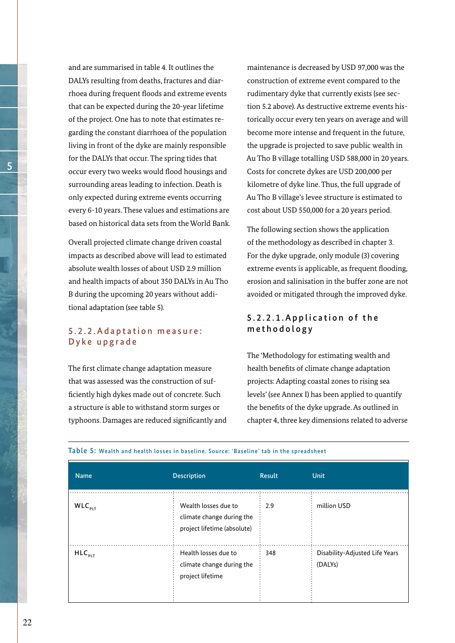and are summarised in table 4. It outlines the DALYs resulting from deaths, fractures and diarrhoea during frequent floods and extreme events that can be expected during the 20-year lifetime of the project. One has to note that estimates regarding the constant diarrhoea of the population living in front of the dyke are mainly responsible for the DALYs that occur. The spring tides that occur every two weeks would flood housings and surrounding areas leading to infection. Death is only expected during extreme events occurring every 6-10 years. These values and estimations are based on historical data sets from the World Bank.

Overall projected climate change driven coastal impacts as described above will lead to estimated absolute wealth losses of about USD 2.9 million and health impacts of about 350 DALYs in Au Tho B during the upcoming 20 years without additional adaptation (see table 5).

## 5 . 2 . 2 . A d a p t a t i o n m e a s u r e : Dyke upgrade

The first climate change adaptation measure that was assessed was the construction of sufficiently high dykes made out of concrete. Such a structure is able to withstand storm surges or typhoons. Damages are reduced significantly and maintenance is decreased by USD 97,000 was the construction of extreme event compared to the rudimentary dyke that currently exists (see section 5.2 above). As destructive extreme events historically occur every ten years on average and will become more intense and frequent in the future, the upgrade is projected to save public wealth in Au Tho B village totalling USD 588,000 in 20 years. Costs for concrete dykes are USD 200,000 per kilometre of dyke line. Thus, the full upgrade of Au Tho B village's levee structure is estimated to cost about USD 550,000 for a 20 years period.

The following section shows the application of the methodology as described in chapter 3. For the dyke upgrade, only module (3) covering extreme events is applicable, as frequent flooding. erosion and salinisation in the buffer zone are not avoided or mitigated through the improved dyke.

## 5.2.2.1. Application of the methodology

The 'Methodology for estimating wealth and health benefits of climate change adaptation projects: Adapting coastal zones to rising sea levels' (see Annex I) has been applied to quantify the benefits of the dyke upgrade. As outlined in chapter 4, three key dimensions related to adverse

| <b>Name</b> | <b>Description</b>                                                               | <b>Result</b> | <b>Unit</b>                                            |
|-------------|----------------------------------------------------------------------------------|---------------|--------------------------------------------------------|
| $WLC_{PLT}$ | Wealth losses due to<br>climate change during the<br>project lifetime (absolute) | 2.9           | million USD                                            |
| $HLC_{PLT}$ | Health losses due to<br>climate change during the<br>project lifetime            | 348           | Disability-Adjusted Life Years<br>(DALY <sub>S</sub> ) |

#### Table 5: Wealth and health losses in baseline. Source: 'Baseline' tab in the spreadsheet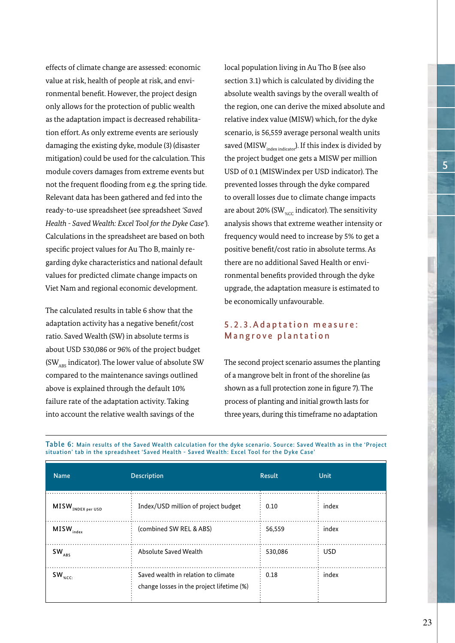effects of climate change are assessed: economic value at risk, health of people at risk, and environmental benefit. However, the project design only allows for the protection of public wealth as the adaptation impact is decreased rehabilitation effort. As only extreme events are seriously damaging the existing dyke, module (3) (disaster mitigation) could be used for the calculation. This module covers damages from extreme events but not the frequent flooding from e.g. the spring tide. Relevant data has been gathered and fed into the ready-to-use spreadsheet (see spreadsheet *'Saved Health - Saved Wealth: Excel Tool for the Dyke Case'*). Calculations in the spreadsheet are based on both specific project values for Au Tho B, mainly regarding dyke characteristics and national default values for predicted climate change impacts on Viet Nam and regional economic development.

The calculated results in table 6 show that the adaptation activity has a negative benefit/cost ratio. Saved Wealth (SW) in absolute terms is about USD 530,086 or 96% of the project budget (SW<sub>ABS</sub> indicator). The lower value of absolute SW compared to the maintenance savings outlined above is explained through the default 10% failure rate of the adaptation activity. Taking into account the relative wealth savings of the

local population living in Au Tho B (see also section 3.1) which is calculated by dividing the absolute wealth savings by the overall wealth of the region, one can derive the mixed absolute and relative index value (MISW) which, for the dyke scenario, is 56,559 average personal wealth units saved (MISW $_{index~indicate}$ ). If this index is divided by the project budget one gets a MISW per million USD of 0.1 (MISWindex per USD indicator). The prevented losses through the dyke compared to overall losses due to climate change impacts are about 20% (SW $_{\text{acc}}$  indicator). The sensitivity analysis shows that extreme weather intensity or frequency would need to increase by 5% to get a positive benefit/cost ratio in absolute terms. As there are no additional Saved Health or environmental benefits provided through the dyke upgrade, the adaptation measure is estimated to be economically unfavourable.

#### 5 . 2 . 3 . A d a p t a t i o n m e a s u r e : Mangrove plantation

The second project scenario assumes the planting of a mangrove belt in front of the shoreline (as shown as a full protection zone in figure 7). The process of planting and initial growth lasts for three years, during this timeframe no adaptation

| <b>Name</b>                              | <b>Description</b>                                                               | <b>Result</b> | <b>Unit</b> |
|------------------------------------------|----------------------------------------------------------------------------------|---------------|-------------|
| $\textsf{MISW}_{\texttt{INDEX per USD}}$ | Index/USD million of project budget                                              | 0.10          | index       |
| $\textsf{MISW}_{\textsf{index}}$         | (combined SW REL & ABS)                                                          | 56,559        | index       |
| $SW_{ABS}$                               | Absolute Saved Wealth                                                            | 530,086       | <b>USD</b>  |
| $\mathsf{SW}_\mathsf{w_{\mathsf{CC}}}$   | Saved wealth in relation to climate<br>change losses in the project lifetime (%) | 0.18          | index       |

Table 6: Main results of the Saved Wealth calculation for the dyke scenario. Source: Saved Wealth as in the 'Project situation' tab in the spreadsheet 'Saved Health - Saved Wealth: Excel Tool for the Dyke Case'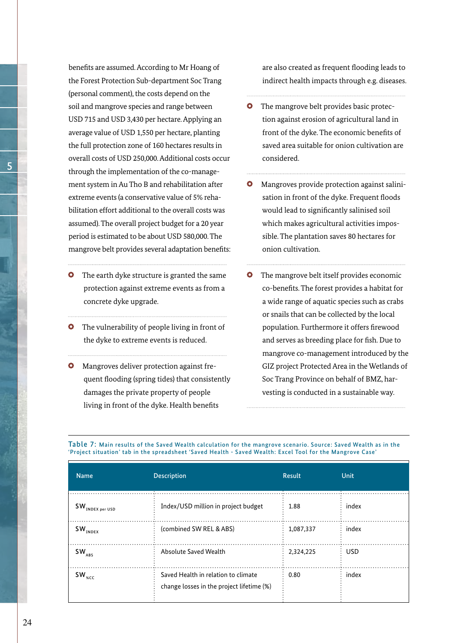benefits are assumed. According to Mr Hoang of the Forest Protection Sub-department Soc Trang (personal comment), the costs depend on the soil and mangrove species and range between USD 715 and USD 3,430 per hectare. Applying an average value of USD 1,550 per hectare, planting the full protection zone of 160 hectares results in overall costs of USD 250,000. Additional costs occur through the implementation of the co-management system in Au Tho B and rehabilitation after extreme events (a conservative value of 5% rehabilitation effort additional to the overall costs was assumed). The overall project budget for a 20 year period is estimated to be about USD 580,000. The mangrove belt provides several adaptation benefits:

- **O** The earth dyke structure is granted the same protection against extreme events as from a concrete dyke upgrade.
- **O** The vulnerability of people living in front of the dyke to extreme events is reduced.
- Mangroves deliver protection against fre- $\bullet$ quent flooding (spring tides) that consistently damages the private property of people living in front of the dyke. Health benefits

are also created as frequent flooding leads to indirect health impacts through e.g. diseases.

- $\bullet$ The mangrove belt provides basic protection against erosion of agricultural land in front of the dyke. The economic benefits of saved area suitable for onion cultivation are considered.
- **O** Mangroves provide protection against salinisation in front of the dyke. Frequent floods would lead to significantly salinised soil which makes agricultural activities impossible. The plantation saves 80 hectares for onion cultivation.
- **O** The mangrove belt itself provides economic co-benefits. The forest provides a habitat for a wide range of aquatic species such as crabs or snails that can be collected by the local population. Furthermore it offers firewood and serves as breeding place for fish. Due to mangrove co-management introduced by the GIZ project Protected Area in the Wetlands of Soc Trang Province on behalf of BMZ, harvesting is conducted in a sustainable way.

| <b>Name</b>                           | <b>Description</b>                                                               | <b>Result</b> | Unit       |
|---------------------------------------|----------------------------------------------------------------------------------|---------------|------------|
| $\mathsf{SW}_{\mathsf{INDEX}$ per USD | Index/USD million in project budget                                              | 1.88          | index      |
| $SW_{INDEX}$                          | (combined SW REL & ABS)                                                          | 1,087,337     | index      |
| $SW_{ABS}$                            | Absolute Saved Wealth                                                            | 2,324,225     | <b>USD</b> |
| $SW_{\text{sec}}$                     | Saved Health in relation to climate<br>change losses in the project lifetime (%) | 0.80          | index      |

Table 7: Main results of the Saved Wealth calculation for the mangrove scenario. Source: Saved Wealth as in the 'Project situation' tab in the spreadsheet 'Saved Health - Saved Wealth: Excel Tool for the Mangrove Case'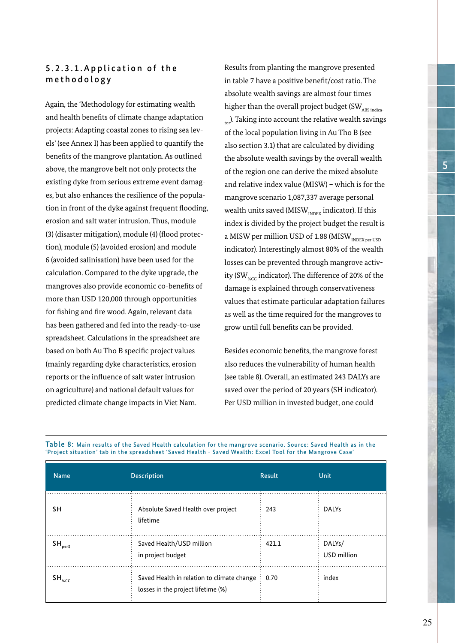# 5.2.3.1. Application of the methodology

Again, the 'Methodology for estimating wealth and health benefits of climate change adaptation projects: Adapting coastal zones to rising sea levels' (see Annex I) has been applied to quantify the benefits of the mangrove plantation. As outlined above, the mangrove belt not only protects the existing dyke from serious extreme event damages, but also enhances the resilience of the population in front of the dyke against frequent flooding, erosion and salt water intrusion. Thus, module (3) (disaster mitigation), module (4) (flood protection), module (5) (avoided erosion) and module 6 (avoided salinisation) have been used for the calculation. Compared to the dyke upgrade, the mangroves also provide economic co-benefits of more than USD 120,000 through opportunities for fishing and fire wood. Again, relevant data has been gathered and fed into the ready-to-use spreadsheet. Calculations in the spreadsheet are based on both Au Tho B specific project values (mainly regarding dyke characteristics, erosion reports or the influence of salt water intrusion on agriculture) and national default values for predicted climate change impacts in Viet Nam.

Results from planting the mangrove presented in table 7 have a positive benefit/cost ratio. The absolute wealth savings are almost four times higher than the overall project budget (SW $_{\rm AS\,indica-}$  $_{\text{tor}}$ ). Taking into account the relative wealth savings of the local population living in Au Tho B (see also section 3.1) that are calculated by dividing the absolute wealth savings by the overall wealth of the region one can derive the mixed absolute and relative index value (MISW) – which is for the mangrove scenario 1,087,337 average personal wealth units saved ( $MISW<sub>INDFX</sub>$  indicator). If this index is divided by the project budget the result is a MISW per million USD of 1.88 (MISW $_{\text{INDEX per USD}}$ indicator). Interestingly almost 80% of the wealth losses can be prevented through mangrove activity (SW<sub>%CC</sub> indicator). The difference of 20% of the damage is explained through conservativeness values that estimate particular adaptation failures as well as the time required for the mangroves to grow until full benefits can be provided.

Besides economic benefits, the mangrove forest also reduces the vulnerability of human health (see table 8). Overall, an estimated 243 DALYs are saved over the period of 20 years (SH indicator). Per USD million in invested budget, one could

| <b>Name</b>                  | <b>Description</b>                                                                | <b>Result</b> | Unit                               |
|------------------------------|-----------------------------------------------------------------------------------|---------------|------------------------------------|
| <b>SH</b>                    | Absolute Saved Health over project<br>lifetime                                    | 243           | <b>DALYs</b>                       |
| $SH_{\text{perf}}$           | Saved Health/USD million<br>in project budget                                     | 421.1         | DALY <sub>s</sub> /<br>USD million |
| $\mathsf{SH}_{\mathsf{sec}}$ | Saved Health in relation to climate change:<br>losses in the project lifetime (%) | 0.70          | index                              |

Table 8: Main results of the Saved Health calculation for the mangrove scenario. Source: Saved Health as in the 'Project situation' tab in the spreadsheet 'Saved Health - Saved Wealth: Excel Tool for the Mangrove Case'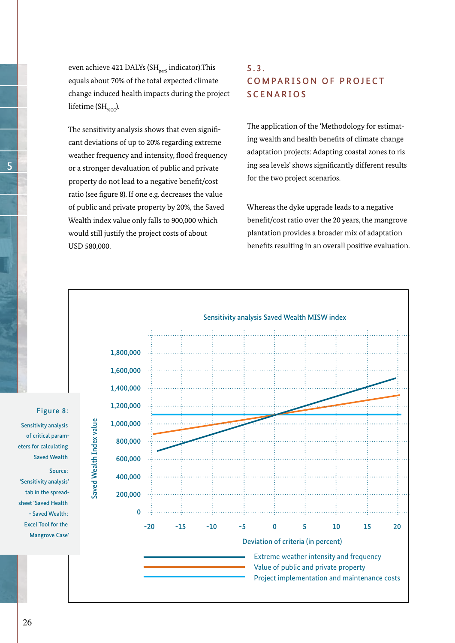even achieve 421 DALYs (SH $_{\text{perfs}}$  indicator). This equals about 70% of the total expected climate change induced health impacts during the project lifetime ( $SH_{\alpha\text{CC}}$ ).

The sensitivity analysis shows that even significant deviations of up to 20% regarding extreme weather frequency and intensity, flood frequency or a stronger devaluation of public and private property do not lead to a negative benefit/cost ratio (see figure 8). If one e.g. decreases the value of public and private property by 20%, the Saved Wealth index value only falls to 900,000 which would still justify the project costs of about USD 580,000.

# 5.3. COMPARISON OF PROJECT **SCENARIOS**

The application of the 'Methodology for estimating wealth and health benefits of climate change adaptation projects: Adapting coastal zones to rising sea levels' shows significantly different results for the two project scenarios.

Whereas the dyke upgrade leads to a negative benefit/cost ratio over the 20 years, the mangrove plantation provides a broader mix of adaptation benefits resulting in an overall positive evaluation.



Figure 8:

Sensitivity analysis of critical parameters for calculating Saved Wealth Source: 'Sensitivity analysis' tab in the spreadsheet 'Saved Health - Saved Wealth: Excel Tool for the Mangrove Case'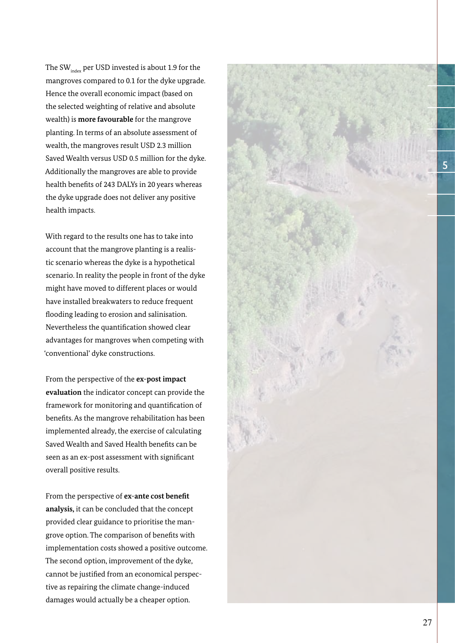The SW $_{index}$  per USD invested is about 1.9 for the mangroves compared to 0.1 for the dyke upgrade. Hence the overall economic impact (based on the selected weighting of relative and absolute wealth) is **more favourable** for the mangrove planting. In terms of an absolute assessment of wealth, the mangroves result USD 2.3 million Saved Wealth versus USD 0.5 million for the dyke. Additionally the mangroves are able to provide health benefits of 243 DALYs in 20 years whereas the dyke upgrade does not deliver any positive health impacts.

With regard to the results one has to take into account that the mangrove planting is a realistic scenario whereas the dyke is a hypothetical scenario. In reality the people in front of the dyke might have moved to different places or would have installed breakwaters to reduce frequent flooding leading to erosion and salinisation. Nevertheless the quantification showed clear advantages for mangroves when competing with 'conventional' dyke constructions.

From the perspective of the **ex-post impact evaluation** the indicator concept can provide the framework for monitoring and quantification of benefits. As the mangrove rehabilitation has been implemented already, the exercise of calculating Saved Wealth and Saved Health benefits can be seen as an ex-post assessment with significant overall positive results.

From the perspective of **ex-ante cost benefit analysis,** it can be concluded that the concept provided clear guidance to prioritise the mangrove option. The comparison of benefits with implementation costs showed a positive outcome. The second option, improvement of the dyke, cannot be justified from an economical perspective as repairing the climate change-induced damages would actually be a cheaper option.

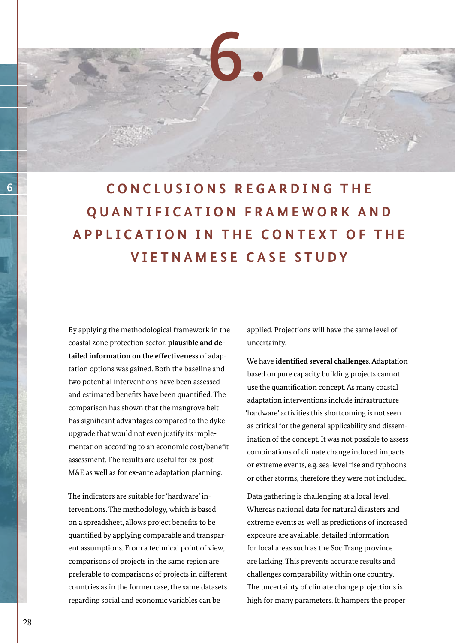6 **C O N C L U S I O N S R E G A R D I N G T H E QUANTIFICATION FRAMEWORK AND APPLICATION IN THE CONTEXT OF THE VIETNAMESE CASE STUDY**

6.

By applying the methodological framework in the coastal zone protection sector, **plausible and detailed information on the effectiveness** of adaptation options was gained. Both the baseline and two potential interventions have been assessed and estimated benefits have been quantified. The comparison has shown that the mangrove belt has significant advantages compared to the dyke upgrade that would not even justify its implementation according to an economic cost/benefit assessment. The results are useful for ex-post M&E as well as for ex-ante adaptation planning.

The indicators are suitable for 'hardware' interventions. The methodology, which is based on a spreadsheet, allows project benefits to be quantified by applying comparable and transparent assumptions. From a technical point of view, comparisons of projects in the same region are preferable to comparisons of projects in different countries as in the former case, the same datasets regarding social and economic variables can be

applied. Projections will have the same level of uncertainty.

We have **identified several challenges**. Adaptation based on pure capacity building projects cannot use the quantification concept. As many coastal adaptation interventions include infrastructure 'hardware' activities this shortcoming is not seen as critical for the general applicability and dissemination of the concept. It was not possible to assess combinations of climate change induced impacts or extreme events, e.g. sea-level rise and typhoons or other storms, therefore they were not included.

Data gathering is challenging at a local level. Whereas national data for natural disasters and extreme events as well as predictions of increased exposure are available, detailed information for local areas such as the Soc Trang province are lacking. This prevents accurate results and challenges comparability within one country. The uncertainty of climate change projections is high for many parameters. It hampers the proper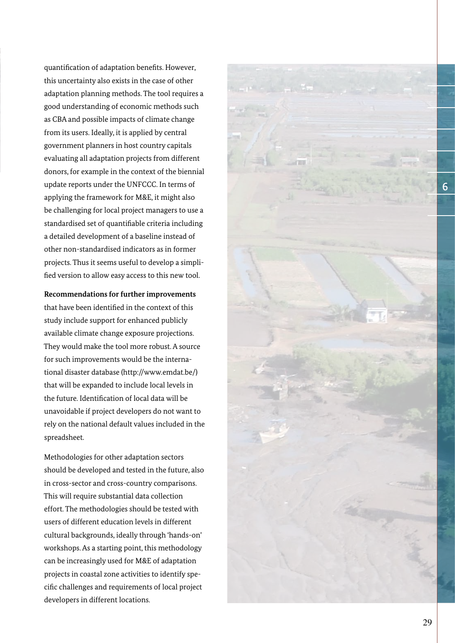quantification of adaptation benefits. However, this uncertainty also exists in the case of other adaptation planning methods. The tool requires a good understanding of economic methods such as CBA and possible impacts of climate change from its users. Ideally, it is applied by central government planners in host country capitals evaluating all adaptation projects from different donors, for example in the context of the biennial update reports under the UNFCCC. In terms of applying the framework for M&E, it might also be challenging for local project managers to use a standardised set of quantifiable criteria including a detailed development of a baseline instead of other non-standardised indicators as in former projects. Thus it seems useful to develop a simplified version to allow easy access to this new tool.

**Recommendations for further improvements** that have been identified in the context of this study include support for enhanced publicly available climate change exposure projections. They would make the tool more robust. A source for such improvements would be the international disaster database (http://www.emdat.be/) that will be expanded to include local levels in the future. Identification of local data will be unavoidable if project developers do not want to rely on the national default values included in the spreadsheet.

Methodologies for other adaptation sectors should be developed and tested in the future, also in cross-sector and cross-country comparisons. This will require substantial data collection effort. The methodologies should be tested with users of different education levels in different cultural backgrounds, ideally through 'hands-on' workshops. As a starting point, this methodology can be increasingly used for M&E of adaptation projects in coastal zone activities to identify specific challenges and requirements of local project developers in different locations.

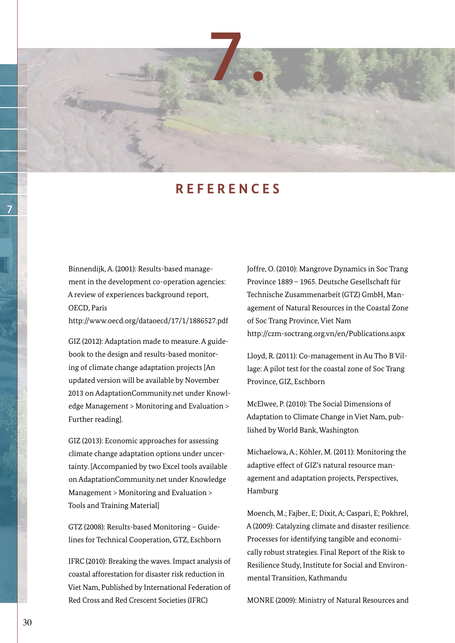

# **R E F E R E N C E S**

Binnendijk, A. (2001): Results-based management in the development co-operation agencies: A review of experiences background report, OECD, Paris

http://www.oecd.org/dataoecd/17/1/1886527.pdf

GIZ (2012): Adaptation made to measure. A guidebook to the design and results-based monitoring of climate change adaptation projects [An updated version will be available by November 2013 on AdaptationCommunity.net under Knowledge Management > Monitoring and Evaluation > Further reading].

GIZ (2013): Economic approaches for assessing climate change adaptation options under uncertainty. [Accompanied by two Excel tools available on AdaptationCommunity.net under Knowledge Management > Monitoring and Evaluation > Tools and Training Material]

GTZ (2008): Results-based Monitoring – Guidelines for Technical Cooperation, GTZ, Eschborn

IFRC (2010): Breaking the waves. Impact analysis of coastal afforestation for disaster risk reduction in Viet Nam, Published by International Federation of Red Cross and Red Crescent Societies (IFRC)

Joffre, O. (2010): Mangrove Dynamics in Soc Trang Province 1889 – 1965. Deutsche Gesellschaft für Technische Zusammenarbeit (GTZ) GmbH, Management of Natural Resources in the Coastal Zone of Soc Trang Province, Viet Nam http://czm-soctrang.org.vn/en/Publications.aspx

Lloyd, R. (2011): Co-management in Au Tho B Village: A pilot test for the coastal zone of Soc Trang Province, GIZ, Eschborn

McElwee, P. (2010): The Social Dimensions of Adaptation to Climate Change in Viet Nam, published by World Bank, Washington

Michaelowa, A.; Köhler, M. (2011): Monitoring the adaptive effect of GIZ's natural resource management and adaptation projects, Perspectives, Hamburg

Moench, M.; Fajber, E; Dixit, A; Caspari, E; Pokhrel, A (2009): Catalyzing climate and disaster resilience. Processes for identifying tangible and economically robust strategies. Final Report of the Risk to Resilience Study, Institute for Social and Environmental Transition, Kathmandu

MONRE (2009): Ministry of Natural Resources and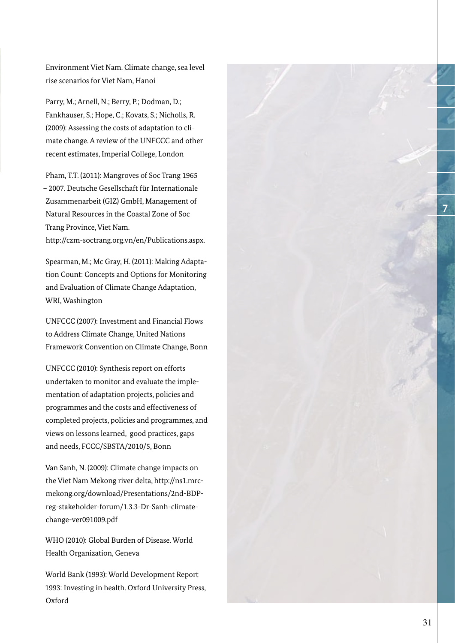Environment Viet Nam. Climate change, sea level rise scenarios for Viet Nam, Hanoi

Parry, M.; Arnell, N.; Berry, P.; Dodman, D.; Fankhauser, S.; Hope, C.; Kovats, S.; Nicholls, R. (2009): Assessing the costs of adaptation to climate change. A review of the UNFCCC and other recent estimates, Imperial College, London

Pham, T.T. (2011): Mangroves of Soc Trang 1965 – 2007. Deutsche Gesellschaft für Internationale Zusammenarbeit (GIZ) GmbH, Management of Natural Resources in the Coastal Zone of Soc Trang Province, Viet Nam. http://czm-soctrang.org.vn/en/Publications.aspx.

Spearman, M.; Mc Gray, H. (2011): Making Adaptation Count: Concepts and Options for Monitoring and Evaluation of Climate Change Adaptation, WRI, Washington

UNFCCC (2007): Investment and Financial Flows to Address Climate Change, United Nations Framework Convention on Climate Change, Bonn

UNFCCC (2010): Synthesis report on efforts undertaken to monitor and evaluate the implementation of adaptation projects, policies and programmes and the costs and effectiveness of completed projects, policies and programmes, and views on lessons learned, good practices, gaps and needs, FCCC/SBSTA/2010/5, Bonn

Van Sanh, N. (2009): Climate change impacts on the Viet Nam Mekong river delta, http://ns1.mrcmekong.org/download/Presentations/2nd-BDPreg-stakeholder-forum/1.3.3-Dr-Sanh-climatechange-ver091009.pdf

WHO (2010): Global Burden of Disease. World Health Organization, Geneva

World Bank (1993): World Development Report 1993: Investing in health. Oxford University Press, Oxford



31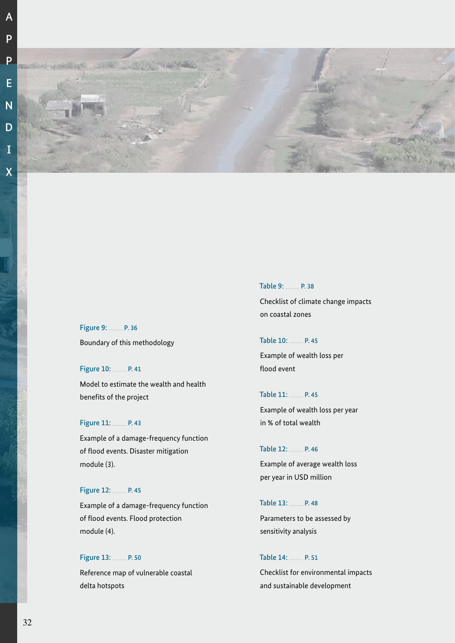



Figure 9: P. 36 Boundary of this methodology

Figure 10: P.41 Model to estimate the wealth and health benefits of the project

#### Figure 11: P.43

Example of a damage-frequency function of flood events. Disaster mitigation module (3).

#### Figure 12: P.45

Example of a damage-frequency function of flood events. Flood protection module (4).

Figure 13: P. 50 Reference map of vulnerable coastal delta hotspots

Table 9: 2008. Checklist of climate change impacts on coastal zones

Table 10: P. 45 Example of wealth loss per flood event

Table 11: P. 45 Example of wealth loss per year in % of total wealth

Table 12: P.46 Example of average wealth loss per year in USD million

Table 13: P.48 Parameters to be assessed by sensitivity analysis

Table 14: P. 51

Checklist for environmental impacts and sustainable development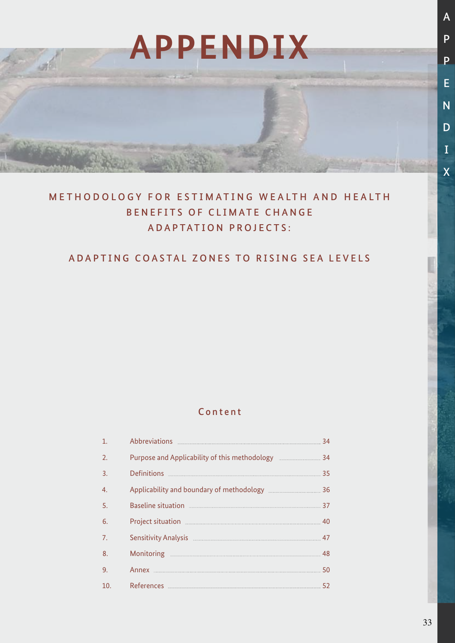# **APPENDIX**

**Carlos** 

# METHODOLOGY FOR ESTIMATING WEALTH AND HEALTH BENEFITS OF CLIMATE CHANGE ADAPTATION PROJECTS:

# ADAPTING COASTAL ZONES TO RISING SEA LEVELS

# Content

| 1.               | Abbreviations 24                                                                                               |  |
|------------------|----------------------------------------------------------------------------------------------------------------|--|
| $\overline{2}$ . | Purpose and Applicability of this methodology [10001] 24                                                       |  |
| $\overline{3}$ . | Definitions 25                                                                                                 |  |
| 4.               | Applicability and boundary of methodology <b>manual manual analysis</b> 36                                     |  |
| 5.               | Baseline situation <b>Exercise Situation</b> 37                                                                |  |
| 6.               |                                                                                                                |  |
| $\overline{7}$ . | Sensitivity Analysis Manual Manual Manual Manual Manual Manual Manual Manual Manual Manual Manual Manual Manua |  |
| 8.               |                                                                                                                |  |
| 9.               | Annex 50                                                                                                       |  |
| 10.              |                                                                                                                |  |

A

P

P

E

N

D

I

X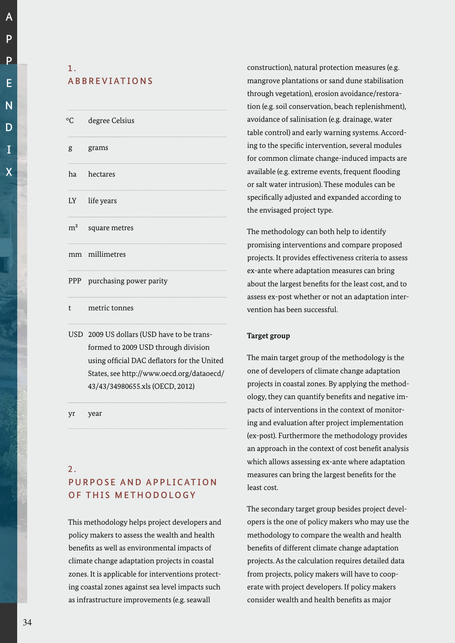A

# 1. **ABBREVIATIONS**

| °C | degree Celsius                             |
|----|--------------------------------------------|
|    | g grams                                    |
|    | ha hectares                                |
|    | LY life years                              |
|    | $m2$ square metres                         |
|    | mm millimetres                             |
|    | PPP purchasing power parity                |
|    | t metric tonnes                            |
|    | USD 2009 US dollars (USD have to be trans- |

 formed to 2009 USD through division using official DAC deflators for the United States, see http://www.oecd.org/dataoecd/ 43/43/34980655.xls (OECD, 2012)

yr year

# $2<sub>1</sub>$

# PURPOSE AND APPLICATION OF THIS METHODOLOGY

This methodology helps project developers and policy makers to assess the wealth and health benefits as well as environmental impacts of climate change adaptation projects in coastal zones. It is applicable for interventions protecting coastal zones against sea level impacts such as infrastructure improvements (e.g. seawall

construction), natural protection measures (e.g. mangrove plantations or sand dune stabilisation through vegetation), erosion avoidance/restoration (e.g. soil conservation, beach replenishment), avoidance of salinisation (e.g. drainage, water table control) and early warning systems. According to the specific intervention, several modules for common climate change-induced impacts are available (e.g. extreme events, frequent flooding or salt water intrusion). These modules can be specifically adjusted and expanded according to the envisaged project type.

The methodology can both help to identify promising interventions and compare proposed projects. It provides effectiveness criteria to assess ex-ante where adaptation measures can bring about the largest benefits for the least cost, and to assess ex-post whether or not an adaptation intervention has been successful.

## **Target group**

The main target group of the methodology is the one of developers of climate change adaptation projects in coastal zones. By applying the methodology, they can quantify benefits and negative impacts of interventions in the context of monitoring and evaluation after project implementation (ex-post). Furthermore the methodology provides an approach in the context of cost benefit analysis which allows assessing ex-ante where adaptation measures can bring the largest benefits for the least cost.

The secondary target group besides project developers is the one of policy makers who may use the methodology to compare the wealth and health benefits of different climate change adaptation projects. As the calculation requires detailed data from projects, policy makers will have to cooperate with project developers. If policy makers consider wealth and health benefits as major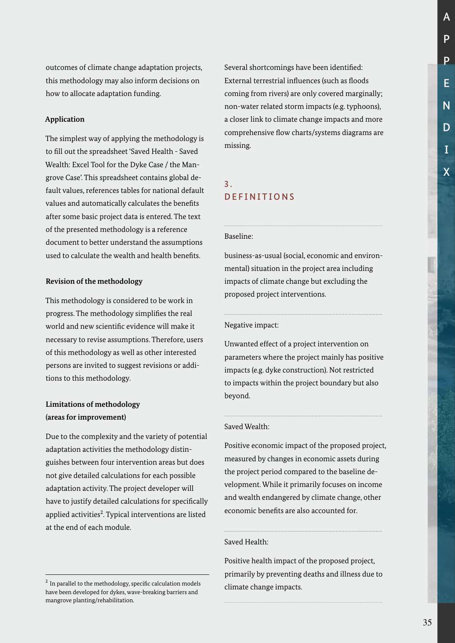P P E N D I X

A

outcomes of climate change adaptation projects, this methodology may also inform decisions on how to allocate adaptation funding.

#### **Application**

The simplest way of applying the methodology is to fill out the spreadsheet 'Saved Health - Saved Wealth: Excel Tool for the Dyke Case / the Mangrove Case'. This spreadsheet contains global default values, references tables for national default values and automatically calculates the benefits after some basic project data is entered. The text of the presented methodology is a reference document to better understand the assumptions used to calculate the wealth and health benefits.

#### **Revision of the methodology**

This methodology is considered to be work in progress. The methodology simplifies the real world and new scientific evidence will make it necessary to revise assumptions. Therefore, users of this methodology as well as other interested persons are invited to suggest revisions or additions to this methodology.

## **Limitations of methodology (areas for improvement)**

Due to the complexity and the variety of potential adaptation activities the methodology distinguishes between four intervention areas but does not give detailed calculations for each possible adaptation activity. The project developer will have to justify detailed calculations for specifically applied activities<sup>2</sup>. Typical interventions are listed at the end of each module.

Several shortcomings have been identified: External terrestrial influences (such as floods coming from rivers) are only covered marginally; non-water related storm impacts (e.g. typhoons), a closer link to climate change impacts and more comprehensive flow charts/systems diagrams are missing.

# 3. DEFINITIONS

#### Baseline:

business-as-usual (social, economic and environmental) situation in the project area including impacts of climate change but excluding the proposed project interventions.

Negative impact:

Unwanted effect of a project intervention on parameters where the project mainly has positive impacts (e.g. dyke construction). Not restricted to impacts within the project boundary but also beyond.

#### Saved Wealth:

Positive economic impact of the proposed project, measured by changes in economic assets during the project period compared to the baseline development. While it primarily focuses on income and wealth endangered by climate change, other economic benefits are also accounted for.

#### Saved Health:

Positive health impact of the proposed project, primarily by preventing deaths and illness due to climate change impacts.

 $2$  In parallel to the methodology, specific calculation models have been developed for dykes, wave-breaking barriers and mangrove planting/rehabilitation.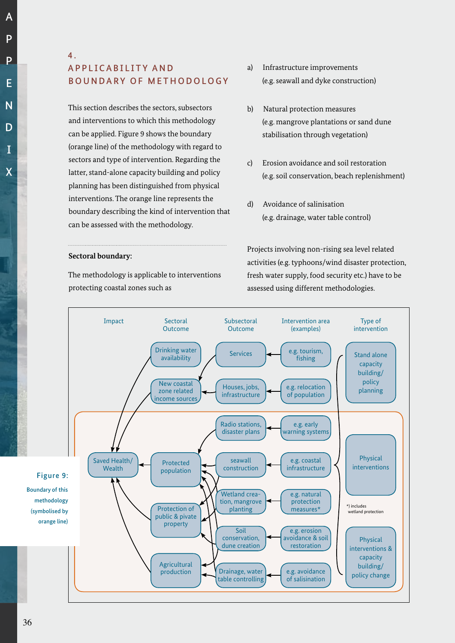A

# 4. A P P L I C A B I L I T Y A N D BOUNDARY OF METHODOLOGY

This section describes the sectors, subsectors and interventions to which this methodology can be applied. Figure 9 shows the boundary (orange line) of the methodology with regard to sectors and type of intervention. Regarding the latter, stand-alone capacity building and policy planning has been distinguished from physical interventions. The orange line represents the boundary describing the kind of intervention that can be assessed with the methodology.

#### **Sectoral boundary:**

The methodology is applicable to interventions protecting coastal zones such as

- a) Infrastructure improvements (e.g. seawall and dyke construction)
- b) Natural protection measures (e.g. mangrove plantations or sand dune stabilisation through vegetation)
- c) Erosion avoidance and soil restoration (e.g. soil conservation, beach replenishment)
- d) Avoidance of salinisation (e.g. drainage, water table control)

Projects involving non-rising sea level related activities (e.g. typhoons/wind disaster protection, fresh water supply, food security etc.) have to be assessed using different methodologies.



Figure 9: Boundary of this methodology (symbolised by orange line)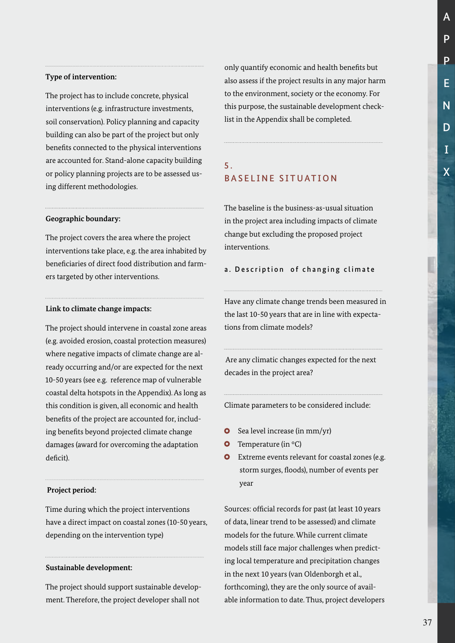#### **Type of intervention:**

The project has to include concrete, physical interventions (e.g. infrastructure investments, soil conservation). Policy planning and capacity building can also be part of the project but only benefits connected to the physical interventions are accounted for. Stand-alone capacity building or policy planning projects are to be assessed using different methodologies.

#### **Geographic boundary:**

The project covers the area where the project interventions take place, e.g. the area inhabited by beneficiaries of direct food distribution and farmers targeted by other interventions.

#### **Link to climate change impacts:**

The project should intervene in coastal zone areas (e.g. avoided erosion, coastal protection measures) where negative impacts of climate change are already occurring and/or are expected for the next 10-50 years (see e.g. reference map of vulnerable coastal delta hotspots in the Appendix). As long as this condition is given, all economic and health benefits of the project are accounted for, including benefits beyond projected climate change damages (award for overcoming the adaptation deficit).

#### **Project period:**

Time during which the project interventions have a direct impact on coastal zones (10-50 years, depending on the intervention type)

#### **Sustainable development:**

The project should support sustainable development. Therefore, the project developer shall not

only quantify economic and health benefits but also assess if the project results in any major harm to the environment, society or the economy. For this purpose, the sustainable development checklist in the Appendix shall be completed.

#### 5. BASELINE SITUATION

The baseline is the business-as-usual situation in the project area including impacts of climate change but excluding the proposed project interventions.

a. Description of changing climate

Have any climate change trends been measured in the last 10-50 years that are in line with expectations from climate models?

 Are any climatic changes expected for the next decades in the project area?

Climate parameters to be considered include:

- **O** Sea level increase (in mm/yr)
- **O** Temperature (in  $^{\circ}$ C)
- **O** Extreme events relevant for coastal zones (e.g. storm surges, floods), number of events per year

Sources: official records for past (at least 10 years of data, linear trend to be assessed) and climate models for the future. While current climate models still face major challenges when predicting local temperature and precipitation changes in the next 10 years (van Oldenborgh et al., forthcoming), they are the only source of available information to date. Thus, project developers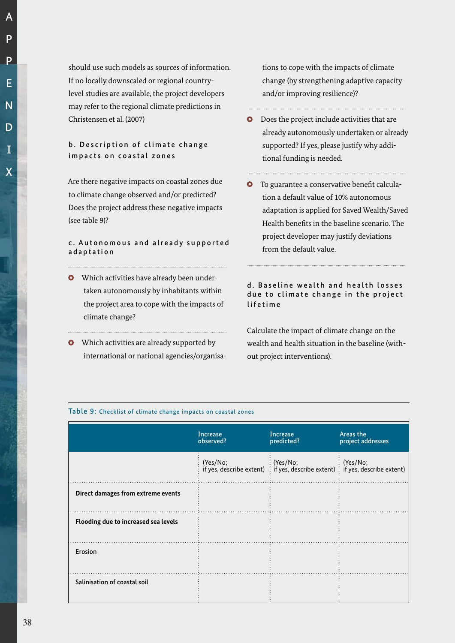A

should use such models as sources of information. If no locally downscaled or regional countrylevel studies are available, the project developers may refer to the regional climate predictions in Christensen et al. (2007)

#### b. Description of climate change impacts on coastal zones

Are there negative impacts on coastal zones due to climate change observed and/or predicted? Does the project address these negative impacts (see table 9)?

#### c. Autonomous and already supported adaptation

- Which activities have already been undertaken autonomously by inhabitants within the project area to cope with the impacts of climate change?
- **O** Which activities are already supported by international or national agencies/organisa-

tions to cope with the impacts of climate change (by strengthening adaptive capacity and/or improving resilience)?

- **O** Does the project include activities that are already autonomously undertaken or already supported? If yes, please justify why additional funding is needed.
- To guarantee a conservative benefit calcula- $\bullet$ tion a default value of 10% autonomous adaptation is applied for Saved Wealth/Saved Health benefits in the baseline scenario. The project developer may justify deviations from the default value.

#### d. Baseline wealth and health losses due to climate change in the project lifetime

Calculate the impact of climate change on the wealth and health situation in the baseline (without project interventions).

#### Table 9: Checklist of climate change impacts on coastal zones

|                                      | <b>Increase</b><br>observed? | <b>Increase</b><br>predicted?                                                                                                                          | Areas the<br>project addresses |
|--------------------------------------|------------------------------|--------------------------------------------------------------------------------------------------------------------------------------------------------|--------------------------------|
|                                      | (Yes/No;                     | $\therefore$ (Yes/No;<br>$\vdots$ $(Yes/No;$<br>if yes, describe extent) $\frac{1}{2}$ if yes, describe extent) $\frac{1}{2}$ if yes, describe extent) |                                |
| Direct damages from extreme events   |                              |                                                                                                                                                        |                                |
| Flooding due to increased sea levels |                              |                                                                                                                                                        |                                |
| Erosion                              |                              |                                                                                                                                                        |                                |
| Salinisation of coastal soil         |                              |                                                                                                                                                        |                                |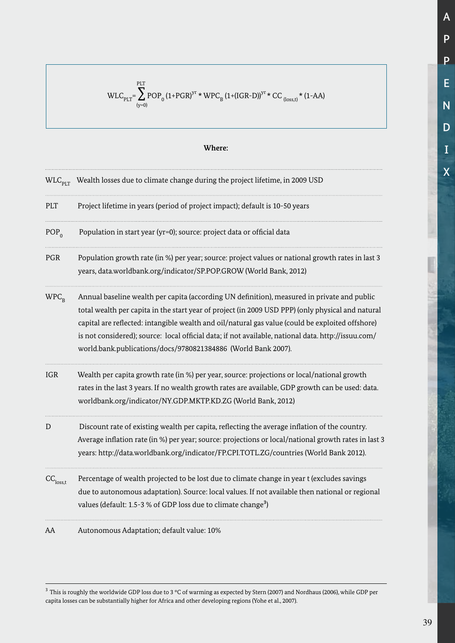$\text{WLC}_{\text{PLT}} = \sum_{(\text{y}=0)}^{\text{PLT}} \text{POP}_0 \left(1 + \text{PGR}\right)^{\text{yr}} \star \text{WPC}_{\text{B}} \left(1 + \left(\text{IGR-D}\right)\right)^{\text{yr}} \star \text{CC}_{\text{(loss,t)}} \star \left(1 - \text{AA}\right)$ 

#### **Where:**

|                           | $WLC_{\text{PIT}}$ Wealth losses due to climate change during the project lifetime, in 2009 USD                                                                                                                                                                                                                                                                                                                                                                              |
|---------------------------|------------------------------------------------------------------------------------------------------------------------------------------------------------------------------------------------------------------------------------------------------------------------------------------------------------------------------------------------------------------------------------------------------------------------------------------------------------------------------|
| PLT                       | Project lifetime in years (period of project impact); default is 10-50 years                                                                                                                                                                                                                                                                                                                                                                                                 |
| $POP_{0}$                 | Population in start year (yr=0); source: project data or official data                                                                                                                                                                                                                                                                                                                                                                                                       |
| <b>PGR</b>                | Population growth rate (in %) per year; source: project values or national growth rates in last 3<br>years, data.worldbank.org/indicator/SP.POP.GROW (World Bank, 2012)                                                                                                                                                                                                                                                                                                      |
| $WPC_{R}$                 | Annual baseline wealth per capita (according UN definition), measured in private and public<br>total wealth per capita in the start year of project (in 2009 USD PPP) (only physical and natural<br>capital are reflected: intangible wealth and oil/natural gas value (could be exploited offshore)<br>is not considered); source: local official data; if not available, national data. http://issuu.com/<br>world.bank.publications/docs/9780821384886 (World Bank 2007). |
| <b>IGR</b>                | Wealth per capita growth rate (in %) per year, source: projections or local/national growth<br>rates in the last 3 years. If no wealth growth rates are available, GDP growth can be used: data.<br>worldbank.org/indicator/NY.GDP.MKTP.KD.ZG (World Bank, 2012)                                                                                                                                                                                                             |
| D                         | Discount rate of existing wealth per capita, reflecting the average inflation of the country.<br>Average inflation rate (in %) per year; source: projections or local/national growth rates in last 3<br>years: http://data.worldbank.org/indicator/FP.CPI.TOTL.ZG/countries (World Bank 2012).                                                                                                                                                                              |
| $\text{CC}_\text{loss,t}$ | Percentage of wealth projected to be lost due to climate change in year t (excludes savings<br>due to autonomous adaptation). Source: local values. If not available then national or regional<br>values (default: 1.5-3 % of GDP loss due to climate change <sup>3</sup> )                                                                                                                                                                                                  |
| AA                        | Autonomous Adaptation; default value: 10%                                                                                                                                                                                                                                                                                                                                                                                                                                    |

 $^3$  This is roughly the worldwide GDP loss due to 3  $^{\rm o}{\rm C}$  of warming as expected by Stern (2007) and Nordhaus (2006), while GDP per capita losses can be substantially higher for Africa and other developing regions (Yohe et al., 2007).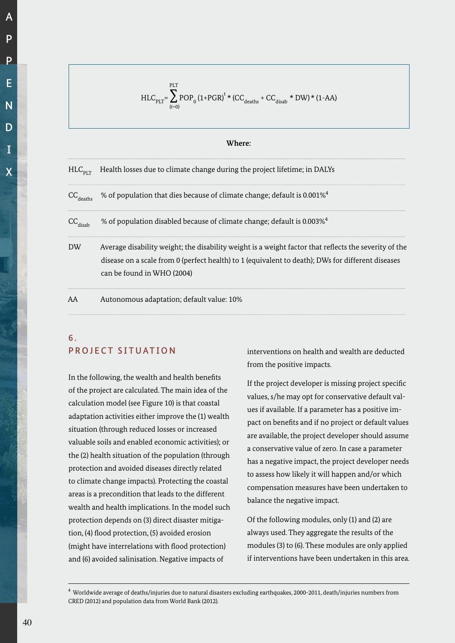$$
\begin{array}{c}\nA \\
P \\
P \\
E \\
N \\
D \\
I \\
X\n\end{array}
$$

$$
HLC_{PLT} = \sum_{(t=0)}^{PLT} POP_{0} (1+PGR)^{t} * (CC_{deaths} + CC_{disab} * DW) * (1-AA)
$$

#### **Where:**

| $HLC_{\text{diff}}$       | Health losses due to climate change during the project lifetime; in DALYs                                                                                                                                                                |
|---------------------------|------------------------------------------------------------------------------------------------------------------------------------------------------------------------------------------------------------------------------------------|
| $\text{CC}_\text{deaths}$ | % of population that dies because of climate change; default is 0.001% <sup>4</sup>                                                                                                                                                      |
| $\text{CC}_\text{disab}$  | % of population disabled because of climate change; default is 0.003% <sup>4</sup>                                                                                                                                                       |
| DW                        | Average disability weight; the disability weight is a weight factor that reflects the severity of the<br>disease on a scale from 0 (perfect health) to 1 (equivalent to death); DWs for different diseases<br>can be found in WHO (2004) |
|                           | Autonomous adaptation; default value: 10%                                                                                                                                                                                                |

# 6 . PROJECT SITUATION

In the following, the wealth and health benefits of the project are calculated. The main idea of the calculation model (see Figure 10) is that coastal adaptation activities either improve the (1) wealth situation (through reduced losses or increased valuable soils and enabled economic activities); or the (2) health situation of the population (through protection and avoided diseases directly related to climate change impacts). Protecting the coastal areas is a precondition that leads to the different wealth and health implications. In the model such protection depends on (3) direct disaster mitigation, (4) flood protection, (5) avoided erosion (might have interrelations with flood protection) and (6) avoided salinisation. Negative impacts of

interventions on health and wealth are deducted from the positive impacts.

If the project developer is missing project specific values, s/he may opt for conservative default values if available. If a parameter has a positive impact on benefits and if no project or default values are available, the project developer should assume a conservative value of zero. In case a parameter has a negative impact, the project developer needs to assess how likely it will happen and/or which compensation measures have been undertaken to balance the negative impact.

Of the following modules, only (1) and (2) are always used. They aggregate the results of the modules (3) to (6). These modules are only applied if interventions have been undertaken in this area.

 $^4$  Worldwide average of deaths/injuries due to natural disasters excluding earthquakes, 2000-2011, death/injuries numbers from CRED (2012) and population data from World Bank (2012).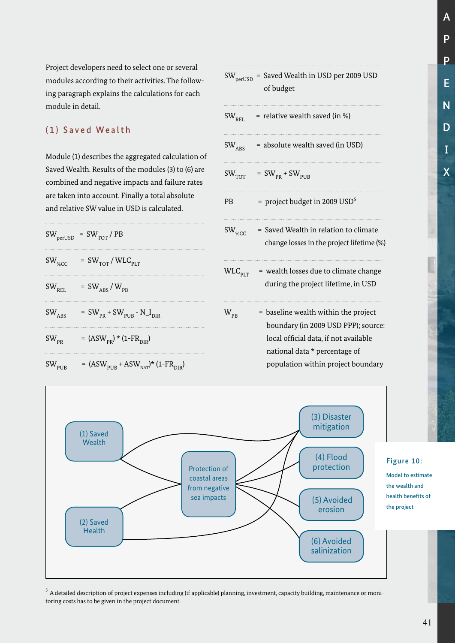Project developers need to select one or several modules according to their activities. The following paragraph explains the calculations for each module in detail.

# (1) Saved Wealth

Module (1) describes the aggregated calculation of Saved Wealth. Results of the modules (3) to (6) are combined and negative impacts and failure rates are taken into account. Finally a total absolute and relative SW value in USD is calculated.

|                          | $SW_{\text{perUSD}} = SW_{\text{TOT}} / PB$                   |
|--------------------------|---------------------------------------------------------------|
| $SW_{\%CC}$              | $=$ SW <sub>TOT</sub> / WLC <sub>PLT</sub>                    |
| $\text{SW}_{\text{REL}}$ | $= \text{SW}_{\text{ABS}} / \text{W}_{\text{PB}}$             |
| $SW_{\overline{ABS}}$    | $=$ SW <sub>PR</sub> + SW <sub>PUB</sub> - N <sub>_IDIR</sub> |
| $SW_{PR}$                | = $(ASW_{PR}) * (1 - FR_{DIR})$                               |
| $SW_{PUB}$               | = $(ASW_{PUB} + ASW_{NAT})*(1-FR_{DIR})$                      |

|                              | $SW_{\text{perUSD}}$ = Saved Wealth in USD per 2009 USD<br>of budget                                                                                                                        |
|------------------------------|---------------------------------------------------------------------------------------------------------------------------------------------------------------------------------------------|
| SW <sub>REL</sub>            | = relative wealth saved (in %)                                                                                                                                                              |
| $\text{SW}_\text{ABS}$       | = absolute wealth saved (in USD)                                                                                                                                                            |
| $\text{SW}_{\text{TOT}}$     | = $SW_{PR}$ + $SW_{PUB}$                                                                                                                                                                    |
| PB                           | = project budget in 2009 $USD^5$                                                                                                                                                            |
| $SW_{\text{W}_{\text{CCC}}}$ | = Saved Wealth in relation to climate<br>change losses in the project lifetime (%)                                                                                                          |
| $\text{WLC}_{\texttt{PI,T}}$ | = wealth losses due to climate change<br>during the project lifetime, in USD                                                                                                                |
| $\rm{W}_{PB}$                | = baseline wealth within the project<br>boundary (in 2009 USD PPP); source:<br>local official data, if not available<br>national data * percentage of<br>population within project boundary |
|                              |                                                                                                                                                                                             |



 $^{\rm 5}$  A detailed description of project expenses including (if applicable) planning, investment, capacity building, maintenance or monitoring costs has to be given in the project document.

A

P

P

E

N

D

I

X

the wealth and health benefits of the project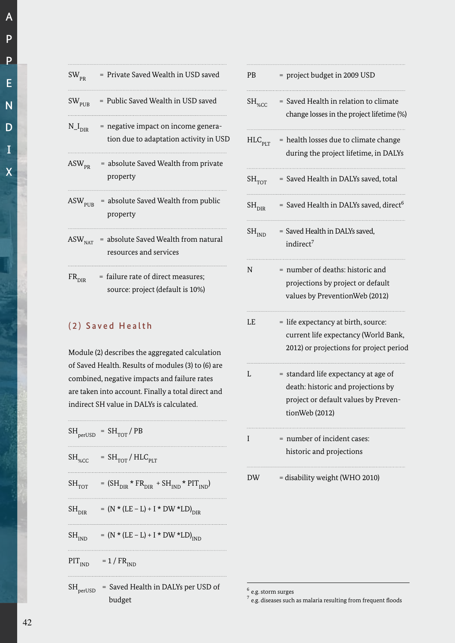|  | $SW_{PR}$                 | = Private Saved Wealth in USD saved                                             |
|--|---------------------------|---------------------------------------------------------------------------------|
|  | $SW_{PIIB}$               | = Public Saved Wealth in USD saved                                              |
|  | $N_{\rm -I_{\rm DIR}}$    | $=$ negative impact on income genera-<br>tion due to adaptation activity in USD |
|  | $\text{ASW}_{\text{PR}}$  | = absolute Saved Wealth from private<br>property                                |
|  |                           | $\text{ASW}_{\text{PIIB}}$ = absolute Saved Wealth from public<br>property      |
|  | $\text{ASW}_{\text{NAT}}$ | = absolute Saved Wealth from natural<br>resources and services                  |

 $FR<sub>DIR</sub>$  = failure rate of direct measures; source: project (default is 10%)

#### (2) Saved Health

Module (2) describes the aggregated calculation of Saved Health. Results of modules (3) to (6) are combined, negative impacts and failure rates are taken into account. Finally a total direct and indirect SH value in DALYs is calculated.

| $SH_{\text{perUSD}}$                            | $= SHTOT/PB$                                     |
|-------------------------------------------------|--------------------------------------------------|
| $\operatorname{SH}_{\!\scriptscriptstyle\% CC}$ | $= SH_{TOT}/HLC_{PLT}$                           |
| $SH_{TOT}$                                      | = $(SH_{DIR} * FR_{DIR} + SH_{IND} * PIT_{IND})$ |
| $\mathrm{SH}_\mathrm{DIR}$                      | = $(N * (LE - L) + I * DW * LD)_{DIR}$           |
| $SH_{IND}$                                      | = $(N * (LE - L) + I * DW * LD)_{IND}$           |
| PIT <sub>IND</sub>                              | $= 1 / FRIND$                                    |
| $\rm SH_{perUSD}$                               | = Saved Health in DALYs per USD of               |

budget

PB = project budget in 2009 USD  $SH<sub>wCC</sub>$  = Saved Health in relation to climate change losses in the project lifetime (%)  $HLC_{\text{PIT}}$  = health losses due to climate change during the project lifetime, in DALYs  $\text{SH}_{\text{TOT}}$  = Saved Health in DALYs saved, total  $SH<sub>DIR</sub>$  = Saved Health in DALYs saved, direct<sup>6</sup>  $SH<sub>IND</sub>$  = Saved Health in DALYs saved, indirect<sup>7</sup> N = number of deaths: historic and projections by project or default values by PreventionWeb (2012)  $LE$  = life expectancy at birth, source: current life expectancy (World Bank, 2012) or projections for project period  $L = standard life$  expectancy at age of death: historic and projections by project or default values by Preven tionWeb (2012) I = number of incident cases: historic and projections DW = disability weight (WHO 2010)

 $6$  e.g. storm surges

A

P

P

 $^7$  e.g. diseases such as malaria resulting from frequent floods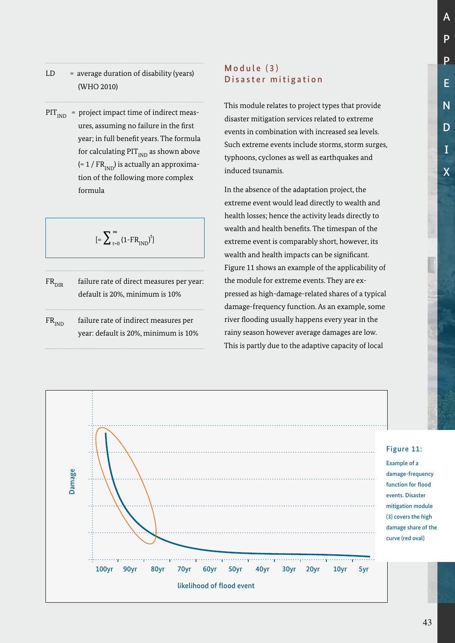- $LD = average duration of disability (years)$ (WHO 2010)
- $PIT<sub>IND</sub>$  = project impact time of indirect measures, assuming no failure in the first year; in full benefit years. The formula for calculating  $PIT_{IND}$  as shown above  $(= 1 / FR<sub>IND</sub>)$  is actually an approximation of the following more complex formula

$$
[=\sum\nolimits_{t=0}^\infty \left(1\text{-FR}_{\text{IND}}\right)^t]
$$

- $FR<sub>DE</sub>$  failure rate of direct measures per year: default is 20%, minimum is 10%
- $FR<sub>IND</sub>$  failure rate of indirect measures per year: default is 20%, minimum is 10%

# Module (3) Disaster mitigation

This module relates to project types that provide disaster mitigation services related to extreme events in combination with increased sea levels. Such extreme events include storms, storm surges, typhoons, cyclones as well as earthquakes and induced tsunamis.

In the absence of the adaptation project, the extreme event would lead directly to wealth and health losses; hence the activity leads directly to wealth and health benefits. The timespan of the extreme event is comparably short, however, its wealth and health impacts can be significant. Figure 11 shows an example of the applicability of the module for extreme events. They are expressed as high-damage-related shares of a typical damage-frequency function. As an example, some river flooding usually happens every year in the rainy season however average damages are low. This is partly due to the adaptive capacity of local

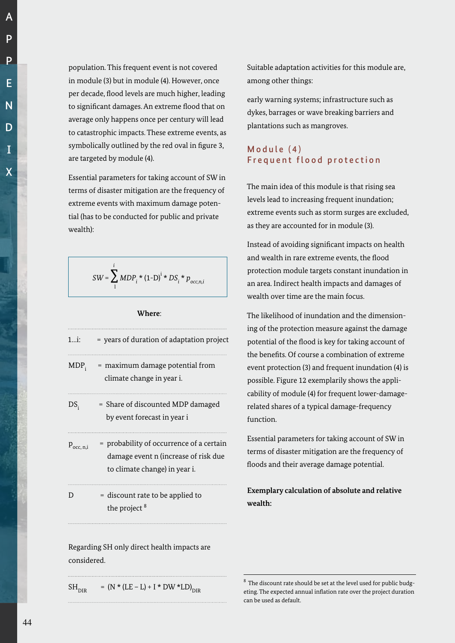population. This frequent event is not covered in module (3) but in module (4). However, once per decade, flood levels are much higher, leading to significant damages. An extreme flood that on average only happens once per century will lead to catastrophic impacts. These extreme events, as symbolically outlined by the red oval in figure 3, are targeted by module (4).

Essential parameters for taking account of SW in terms of disaster mitigation are the frequency of extreme events with maximum damage potential (has to be conducted for public and private wealth):

$$
SW = \sum_{1}^{i} MDP_i * (1-D)^{i} * DS_i * p_{occ, n, i}
$$

#### **Where**:

| $1i$ :             | = years of duration of adaptation project                                                                         |
|--------------------|-------------------------------------------------------------------------------------------------------------------|
| $MDP_i$            | = maximum damage potential from<br>climate change in year i.                                                      |
| $DS_{\rm i}$       | = Share of discounted MDP damaged<br>by event forecast in year i                                                  |
| $P_{\rm occ, n,i}$ | = probability of occurrence of a certain<br>damage event n (increase of risk due<br>to climate change) in year i. |
| D                  | = discount rate to be applied to<br>the project <sup>8</sup>                                                      |
|                    |                                                                                                                   |

Regarding SH only direct health impacts are considered.

Suitable adaptation activities for this module are, among other things:

early warning systems; infrastructure such as dykes, barrages or wave breaking barriers and plantations such as mangroves.

# $Model(4)$ Frequent flood protection

The main idea of this module is that rising sea levels lead to increasing frequent inundation; extreme events such as storm surges are excluded, as they are accounted for in module (3).

Instead of avoiding significant impacts on health and wealth in rare extreme events, the flood protection module targets constant inundation in an area. Indirect health impacts and damages of wealth over time are the main focus.

The likelihood of inundation and the dimensioning of the protection measure against the damage potential of the flood is key for taking account of the benefits. Of course a combination of extreme event protection (3) and frequent inundation (4) is possible. Figure 12 exemplarily shows the applicability of module (4) for frequent lower-damagerelated shares of a typical damage-frequency function.

Essential parameters for taking account of SW in terms of disaster mitigation are the frequency of floods and their average damage potential.

**Exemplary calculation of absolute and relative wealth:**

 $SH<sub>DIR</sub>$  =  $(N * (LE - L) + I * DW * LD)<sub>DIR</sub>$ 

 $8$  The discount rate should be set at the level used for public budgeting. The expected annual inflation rate over the project duration can be used as default.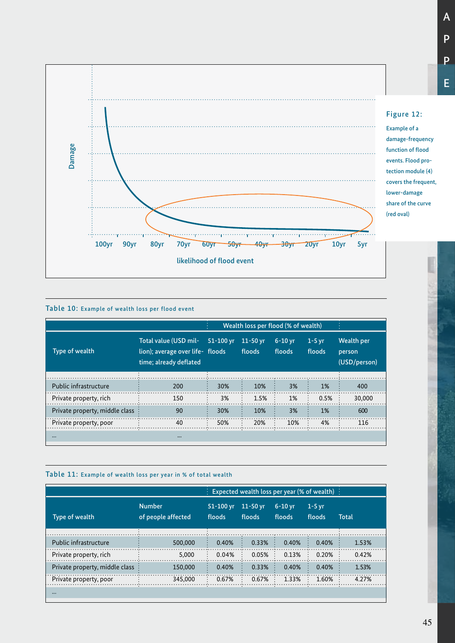

#### Table 10: Example of wealth loss per flood event

|                                |                                                                                     |           | Wealth loss per flood (% of wealth) |                     |                    |                                      |
|--------------------------------|-------------------------------------------------------------------------------------|-----------|-------------------------------------|---------------------|--------------------|--------------------------------------|
| Type of wealth                 | Total value (USD mil-<br>lion); average over life- floods<br>time; already deflated | 51-100 yr | $11-50$ yr<br>floods                | $6-10$ yr<br>floods | $1-5$ yr<br>floods | Wealth per<br>person<br>(USD/person) |
|                                |                                                                                     |           |                                     |                     |                    |                                      |
| Public infrastructure          | 200                                                                                 | 30%       | 10%                                 | 3%                  | 1%                 | 400                                  |
| Private property, rich         | 150                                                                                 | 3%        | 1.5%                                | 1%                  | 0.5%               | 30,000                               |
| Private property, middle class | 90                                                                                  | 30%       | 10%                                 | 3%                  | <b>1%</b>          | 600                                  |
| Private property, poor         | 40                                                                                  | 50%       | 20%                                 | 10%                 | 4%                 | 116                                  |
| $\bullet\bullet\bullet$        | $\cdots$                                                                            |           |                                     |                     |                    |                                      |

#### Table 11: Example of wealth loss per year in % of total wealth

|                                |                                     |                         |                               | $\frac{1}{2}$ Expected wealth loss per year (% of wealth) $\frac{1}{2}$ |                         |       |
|--------------------------------|-------------------------------------|-------------------------|-------------------------------|-------------------------------------------------------------------------|-------------------------|-------|
| Type of wealth                 | <b>Number</b><br>of people affected | $51 - 100$ yr<br>floods | $11-50$ vr<br>floods          | $6-10$ vr<br>floods                                                     | 1-5 yr<br>floods        | Total |
|                                |                                     |                         |                               |                                                                         |                         |       |
| Public infrastructure          | 500,000                             | 0.40%                   | 0.33%                         | 0.40%                                                                   | 0.40%                   | 1.53% |
| Private property, rich         | 5.000                               | 0.04%                   | 0.05%<br>$\bullet$            | 0.13%<br>$\ddot{\cdot}$                                                 | $0.20\%$ :<br>$\bullet$ | 0.42% |
| Private property, middle class | 150,000                             | 0.40%                   | 0.33%                         | 0.40%                                                                   | 0.40%                   | 1.53% |
| Private property, poor         | 345,000                             | 0.67%                   | 0.67%<br>$\ddot{\phantom{0}}$ | 1.33%                                                                   | 1.60%                   | 4.27% |
|                                |                                     |                         |                               |                                                                         |                         |       |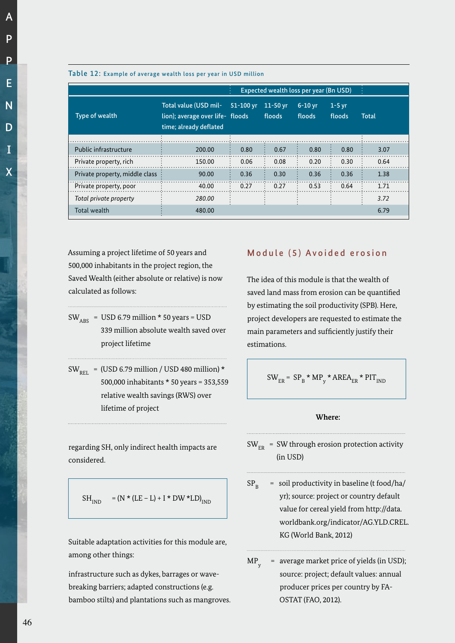A

|                                |                                                                                     |           |                      | Expected wealth loss per year (Bn USD) |                    |       |
|--------------------------------|-------------------------------------------------------------------------------------|-----------|----------------------|----------------------------------------|--------------------|-------|
| Type of wealth                 | Total value (USD mil-<br>lion); average over life- floods<br>time; already deflated | 51-100 yr | $11-50$ yr<br>floods | $6-10$ yr<br>floods                    | $1-5$ yr<br>floods | Total |
|                                |                                                                                     |           |                      |                                        |                    |       |
| Public infrastructure          | 200.00                                                                              | 0.80      | 0.67                 | 0.80                                   | 0.80               | 3.07  |
| Private property, rich         | 150.00                                                                              | 0.06      | 0.08                 | 0.20                                   | 0.30               | 0.64  |
| Private property, middle class | 90.00                                                                               | 0.36      | 0.30                 | 0.36                                   | 0.36               | 1.38  |
| Private property, poor         | 40.00                                                                               | 0.27      | 0.27                 | 0.53                                   | 0.64               | 1.71  |
| Total private property         | 280.00                                                                              |           |                      |                                        |                    | 3.72  |
| Total wealth                   | 480.00                                                                              |           |                      |                                        |                    | 6.79  |

#### Table 12: Example of average wealth loss per year in USD million

Assuming a project lifetime of 50 years and 500,000 inhabitants in the project region, the Saved Wealth (either absolute or relative) is now calculated as follows:

- $SW_{ABC}$  = USD 6.79 million \* 50 years = USD 339 million absolute wealth saved over project lifetime
- $SW<sub>peri</sub> = (USD 6.79 million / USD 480 million) *$ 500,000 inhabitants \* 50 years = 353,559 relative wealth savings (RWS) over lifetime of project

regarding SH, only indirect health impacts are considered.

$$
SH_{\text{IND}}\quad = \left(\text{N} * (\text{LE} - \text{L}) + \text{I} * \text{DW} * \text{LD}\right)_{\text{IND}}
$$

Suitable adaptation activities for this module are, among other things:

infrastructure such as dykes, barrages or wavebreaking barriers; adapted constructions (e.g. bamboo stilts) and plantations such as mangroves.

## Module (5) Avoided erosion

The idea of this module is that the wealth of saved land mass from erosion can be quantified by estimating the soil productivity (SPB). Here, project developers are requested to estimate the main parameters and sufficiently justify their estimations.

$$
SW_{ER} = SP_B * MP_y * AREA_{ER} * PIT_{IND}
$$

#### **Where:**

- $SW_{ER}$  = SW through erosion protection activity (in USD)
- $SP_{R}$  = soil productivity in baseline (t food/ha/ yr); source: project or country default value for cereal yield from http://data. worldbank.org/indicator/AG.YLD.CREL. KG (World Bank, 2012)
- MP y = average market price of yields (in USD); source: project; default values: annual producer prices per country by FA-OSTAT (FAO, 2012).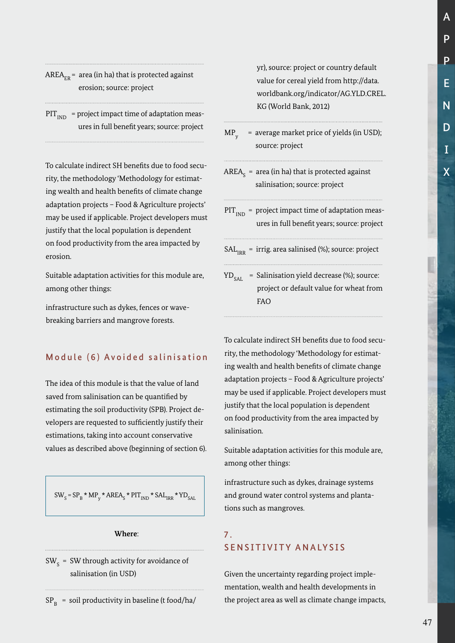# AREA<sub>FR</sub> = area (in ha) that is protected against erosion; source: project

 $PIT<sub>IND</sub>$  = project impact time of adaptation measures in full benefit years; source: project

To calculate indirect SH benefits due to food security, the methodology 'Methodology for estimating wealth and health benefits of climate change adaptation projects – Food & Agriculture projects' may be used if applicable. Project developers must justify that the local population is dependent on food productivity from the area impacted by erosion.

Suitable adaptation activities for this module are, among other things:

infrastructure such as dykes, fences or wavebreaking barriers and mangrove forests.

## Module (6) Avoided salinisation

The idea of this module is that the value of land saved from salinisation can be quantified by estimating the soil productivity (SPB). Project developers are requested to sufficiently justify their estimations, taking into account conservative values as described above (beginning of section 6).

 $SW_s = SP_B * MP_y * AREA_s * PIT_{IND} * SAL_{IRR} * YD_{SAL}$ 

#### **Where**:

SW  $_{\rm S}$  = SW through activity for avoidance of salinisation (in USD)

yr), source: project or country default value for cereal yield from http://data. worldbank.org/indicator/AG.YLD.CREL. KG (World Bank, 2012)

MP y = average market price of yields (in USD); source: project

- AREA $_{_{\mathrm{S}}}$  = area (in ha) that is protected against salinisation; source: project
- $PIT<sub>IND</sub>$  = project impact time of adaptation measures in full benefit years; source: project
- $SAL<sub>1DD</sub>$  = irrig. area salinised (%); source: project
- $YD_{SAY}$  = Salinisation yield decrease (%); source: project or default value for wheat from FAO

To calculate indirect SH benefits due to food security, the methodology 'Methodology for estimating wealth and health benefits of climate change adaptation projects – Food & Agriculture projects' may be used if applicable. Project developers must justify that the local population is dependent on food productivity from the area impacted by salinisation.

Suitable adaptation activities for this module are, among other things:

infrastructure such as dykes, drainage systems and ground water control systems and plantations such as mangroves.

# 7. SENSITIVITY ANALYSIS

Given the uncertainty regarding project implementation, wealth and health developments in the project area as well as climate change impacts,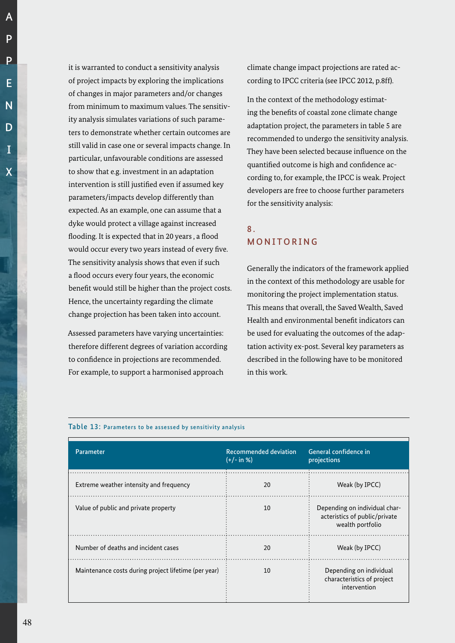A

it is warranted to conduct a sensitivity analysis of project impacts by exploring the implications of changes in major parameters and/or changes from minimum to maximum values. The sensitivity analysis simulates variations of such parameters to demonstrate whether certain outcomes are still valid in case one or several impacts change. In particular, unfavourable conditions are assessed to show that e.g. investment in an adaptation intervention is still justified even if assumed key parameters/impacts develop differently than expected. As an example, one can assume that a dyke would protect a village against increased flooding. It is expected that in 20 years , a flood would occur every two years instead of every five. The sensitivity analysis shows that even if such a flood occurs every four years, the economic benefit would still be higher than the project costs. Hence, the uncertainty regarding the climate change projection has been taken into account.

Assessed parameters have varying uncertainties: therefore different degrees of variation according to confidence in projections are recommended. For example, to support a harmonised approach

climate change impact projections are rated according to IPCC criteria (see IPCC 2012, p.8ff).

In the context of the methodology estimating the benefits of coastal zone climate change adaptation project, the parameters in table 5 are recommended to undergo the sensitivity analysis. They have been selected because influence on the quantified outcome is high and confidence according to, for example, the IPCC is weak. Project developers are free to choose further parameters for the sensitivity analysis:

# 8. MONITORING

Generally the indicators of the framework applied in the context of this methodology are usable for monitoring the project implementation status. This means that overall, the Saved Wealth, Saved Health and environmental benefit indicators can be used for evaluating the outcomes of the adaptation activity ex-post. Several key parameters as described in the following have to be monitored in this work.

| Parameter                                            | <b>Recommended deviation</b><br>$(+/- in %)$ | General confidence in<br>projections                                               |
|------------------------------------------------------|----------------------------------------------|------------------------------------------------------------------------------------|
| Extreme weather intensity and frequency              | 20                                           | Weak (by IPCC)                                                                     |
| Value of public and private property                 | 10                                           | Depending on individual char-<br>acteristics of public/private<br>wealth portfolio |
| Number of deaths and incident cases                  | 20                                           | Weak (by IPCC)                                                                     |
| Maintenance costs during project lifetime (per year) | 10                                           | Depending on individual<br>characteristics of project<br>intervention              |

Table 13: Parameters to be assessed by sensitivity analysis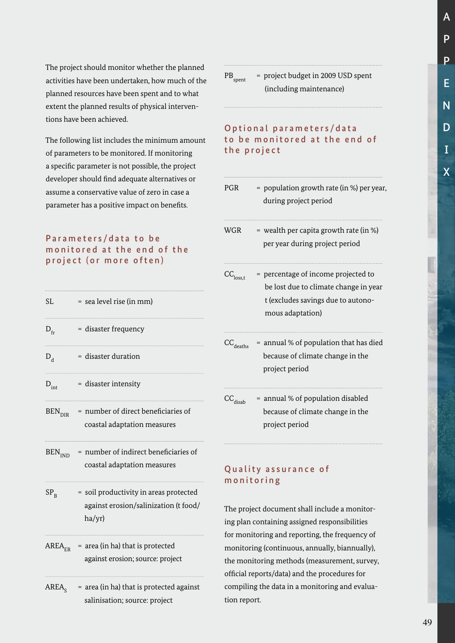A P P E N D I X

 $PB_{\rm short}$  = project budget in 2009 USD spent (including maintenance)

Optional parameters/data to be monitored at the end of the project

| <b>PGR</b>                | = population growth rate (in %) per year,<br>during project period                                                                     |
|---------------------------|----------------------------------------------------------------------------------------------------------------------------------------|
| WGR                       | = wealth per capita growth rate (in %)<br>per year during project period                                                               |
| $\text{CC}_\text{loss,t}$ | = percentage of income projected to<br>be lost due to climate change in year<br>t (excludes savings due to autono-<br>mous adaptation) |
| $\text{CC}_\text{deaths}$ | = annual % of population that has died<br>because of climate change in the<br>project period                                           |
| $\text{CC}_\text{disab}$  | = annual % of population disabled<br>because of climate change in the<br>project period                                                |

## Quality assurance of monitoring

The project document shall include a monitoring plan containing assigned responsibilities for monitoring and reporting, the frequency of monitoring (continuous, annually, biannually), the monitoring methods (measurement, survey, official reports/data) and the procedures for compiling the data in a monitoring and evaluation report.

The project should monitor whether the planned activities have been undertaken, how much of the planned resources have been spent and to what extent the planned results of physical interventions have been achieved.

The following list includes the minimum amount of parameters to be monitored. If monitoring a specific parameter is not possible, the project developer should find adequate alternatives or assume a conservative value of zero in case a parameter has a positive impact on benefits.

# Parameters/data to be monitored at the end of the project (or more often)

| SI.                      | = sea level rise (in mm)                                                                  |
|--------------------------|-------------------------------------------------------------------------------------------|
| $D_{\rm fr}$             | = disaster frequency                                                                      |
| $D_{\rm d}$              | = disaster duration                                                                       |
| $D_{int}$                | = disaster intensity                                                                      |
| <b>BEN<sub>DIR</sub></b> | = number of direct beneficiaries of<br>coastal adaptation measures                        |
| BEN <sub>IND</sub>       | = number of indirect beneficiaries of<br>coastal adaptation measures                      |
| $SP_{\rm R}$             | = soil productivity in areas protected<br>against erosion/salinization (t food/<br>ha/yr) |
| $\rm AREA_{\rm ER}$      | = area (in ha) that is protected<br>against erosion; source: project                      |
| $\rm AREA_{c}$           | $=$ area (in ha) that is protected against<br>salinisation; source: project               |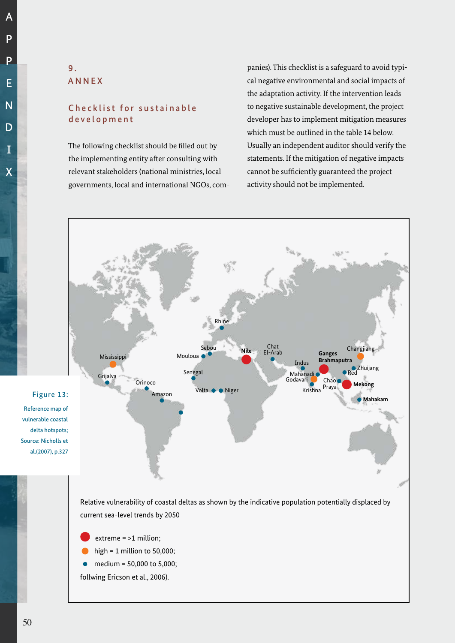A

# 9. ANNEX

# Checklist for sustainable development

The following checklist should be filled out by the implementing entity after consulting with relevant stakeholders (national ministries, local governments, local and international NGOs, companies). This checklist is a safeguard to avoid typical negative environmental and social impacts of the adaptation activity. If the intervention leads to negative sustainable development, the project developer has to implement mitigation measures which must be outlined in the table 14 below. Usually an independent auditor should verify the statements. If the mitigation of negative impacts cannot be sufficiently guaranteed the project activity should not be implemented.



current sea-level trends by 2050

- extreme = >1 million;
- high =  $1$  million to 50,000;
- medium = 50,000 to 5,000;
- follwing Ericson et al., 2006).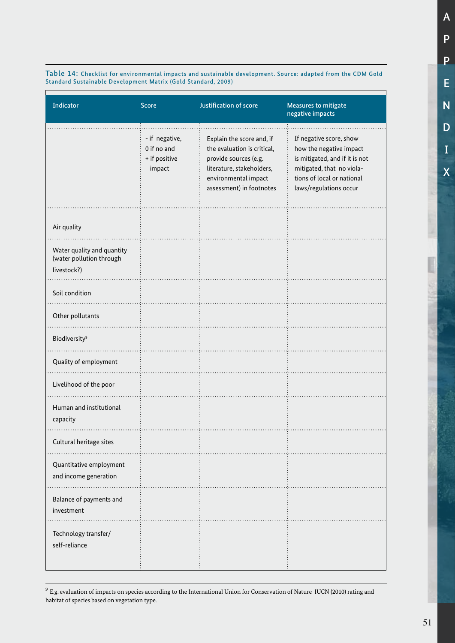Table 14: Checklist for environmental impacts and sustainable development. Source: adapted from the CDM Gold Standard Sustainable Development Matrix (Gold Standard, 2009)

| Indicator                                                             | <b>Score</b>                                             | Justification of score                                                                                                                                             | <b>Measures to mitigate</b><br>negative impacts                                                                                                                           |
|-----------------------------------------------------------------------|----------------------------------------------------------|--------------------------------------------------------------------------------------------------------------------------------------------------------------------|---------------------------------------------------------------------------------------------------------------------------------------------------------------------------|
|                                                                       | - if negative,<br>0 if no and<br>+ if positive<br>impact | Explain the score and, if<br>the evaluation is critical,<br>provide sources (e.g.<br>literature, stakeholders,<br>environmental impact<br>assessment) in footnotes | If negative score, show<br>how the negative impact<br>is mitigated, and if it is not<br>mitigated, that no viola-<br>tions of local or national<br>laws/regulations occur |
| Air quality                                                           |                                                          |                                                                                                                                                                    |                                                                                                                                                                           |
| Water quality and quantity<br>(water pollution through<br>livestock?) |                                                          |                                                                                                                                                                    |                                                                                                                                                                           |
| Soil condition                                                        |                                                          |                                                                                                                                                                    |                                                                                                                                                                           |
| Other pollutants                                                      |                                                          |                                                                                                                                                                    |                                                                                                                                                                           |
| <b>Biodiversity<sup>9</sup></b>                                       |                                                          |                                                                                                                                                                    |                                                                                                                                                                           |
| Quality of employment                                                 |                                                          |                                                                                                                                                                    |                                                                                                                                                                           |
| Livelihood of the poor                                                |                                                          |                                                                                                                                                                    |                                                                                                                                                                           |
| Human and institutional<br>capacity                                   |                                                          |                                                                                                                                                                    |                                                                                                                                                                           |
| Cultural heritage sites                                               |                                                          |                                                                                                                                                                    |                                                                                                                                                                           |
| Quantitative employment<br>and income generation                      |                                                          |                                                                                                                                                                    |                                                                                                                                                                           |
| Balance of payments and<br>investment                                 |                                                          |                                                                                                                                                                    |                                                                                                                                                                           |
| Technology transfer/<br>self-reliance                                 |                                                          |                                                                                                                                                                    |                                                                                                                                                                           |

 $^9$  E.g. evaluation of impacts on species according to the International Union for Conservation of Nature IUCN (2010) rating and habitat of species based on vegetation type.

A

P

P

E

N

D

I

X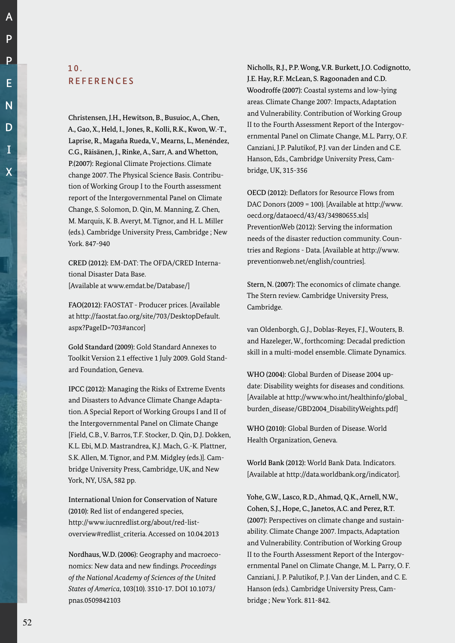Christensen, J.H., Hewitson, B., Busuioc, A., Chen, A., Gao, X., Held, I., Jones, R., Kolli, R.K., Kwon, W.-T., Laprise, R., Magaña Rueda, V., Mearns, L., Menéndez, C.G., Räisänen, J., Rinke, A., Sarr, A. and Whetton, P.(2007): Regional Climate Projections. Climate change 2007. The Physical Science Basis. Contribution of Working Group I to the Fourth assessment report of the Intergovernmental Panel on Climate Change, S. Solomon, D. Qin, M. Manning, Z. Chen, M. Marquis, K. B. Averyt, M. Tignor, and H. L. Miller (eds.). Cambridge University Press, Cambridge ; New York. 847-940

CRED (2012): EM-DAT: The OFDA/CRED International Disaster Data Base. [Available at www.emdat.be/Database/]

FAO(2012): FAOSTAT - Producer prices. [Available at http://faostat.fao.org/site/703/DesktopDefault. aspx?PageID=703#ancor]

Gold Standard (2009): Gold Standard Annexes to Toolkit Version 2.1 effective 1 July 2009. Gold Standard Foundation, Geneva.

IPCC (2012): Managing the Risks of Extreme Events and Disasters to Advance Climate Change Adaptation. A Special Report of Working Groups I and II of the Intergovernmental Panel on Climate Change [Field, C.B., V. Barros, T.F. Stocker, D. Qin, D.J. Dokken, K.L. Ebi, M.D. Mastrandrea, K.J. Mach, G.-K. Plattner, S.K. Allen, M. Tignor, and P.M. Midgley (eds.)]. Cambridge University Press, Cambridge, UK, and New York, NY, USA, 582 pp.

International Union for Conservation of Nature (2010): Red list of endangered species, http://www.iucnredlist.org/about/red-listoverview#redlist\_criteria. Accessed on 10.04.2013

Nordhaus, W.D. (2006): Geography and macroeconomics: New data and new findings. *Proceedings of the National Academy of Sciences of the United States of America*, 103(10). 3510-17. DOI 10.1073/ pnas.0509842103

Nicholls, R.J., P.P. Wong, V.R. Burkett, J.O. Codignotto, J.E. Hay, R.F. McLean, S. Ragoonaden and C.D. Woodroffe (2007): Coastal systems and low-lying areas. Climate Change 2007: Impacts, Adaptation and Vulnerability. Contribution of Working Group II to the Fourth Assessment Report of the Intergovernmental Panel on Climate Change, M.L. Parry, O.F. Canziani, J.P. Palutikof, P.J. van der Linden and C.E. Hanson, Eds., Cambridge University Press, Cambridge, UK, 315-356

OECD (2012): Deflators for Resource Flows from DAC Donors (2009 = 100). [Available at http://www. oecd.org/dataoecd/43/43/34980655.xls] PreventionWeb (2012): Serving the information needs of the disaster reduction community. Countries and Regions - Data. [Available at http://www. preventionweb.net/english/countries].

Stern, N. (2007): The economics of climate change. The Stern review. Cambridge University Press, Cambridge.

van Oldenborgh, G.J., Doblas-Reyes, F.J., Wouters, B. and Hazeleger, W., forthcoming: Decadal prediction skill in a multi-model ensemble. Climate Dynamics.

WHO (2004): Global Burden of Disease 2004 update: Disability weights for diseases and conditions. [Available at http://www.who.int/healthinfo/global\_ burden\_disease/GBD2004\_DisabilityWeights.pdf]

WHO (2010): Global Burden of Disease. World Health Organization, Geneva.

World Bank (2012): World Bank Data. Indicators. [Available at http://data.worldbank.org/indicator].

Yohe, G.W., Lasco, R.D., Ahmad, Q.K., Arnell, N.W., Cohen, S.J., Hope, C., Janetos, A.C. and Perez, R.T. (2007): Perspectives on climate change and sustainability. Climate Change 2007. Impacts, Adaptation and Vulnerability. Contribution of Working Group II to the Fourth Assessment Report of the Intergovernmental Panel on Climate Change, M. L. Parry, O. F. Canziani, J. P. Palutikof, P. J. Van der Linden, and C. E. Hanson (eds.). Cambridge University Press, Cambridge ; New York. 811-842.

A